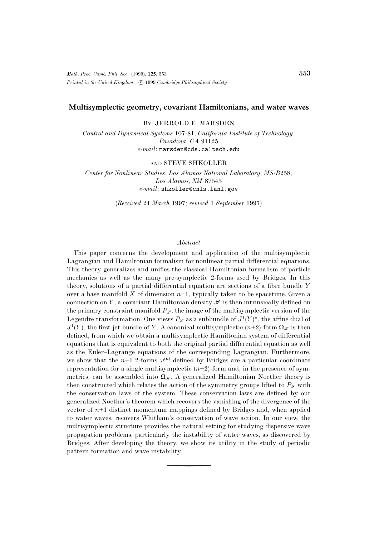## Multisymplectic geometry, covariant Hamiltonians, and water waves

By JERROLD E. MARSDEN

Control and Dynamical Systems 107-81, California Institute of Technology, Pasadena, CA 91125 e-mail: marsden@cds.caltech.edu

and STEVE SHKOLLER

Center for Nonlinear Studies, Los Alamos National Laboratory, MS-B258, Los Alamos, NM 87545 e-mail: shkoller@cnls.lanl.gov

(Received 24 March 1997; revised 1 September 1997)

#### Abstract

This paper concerns the development and application of the multisymplectic Lagrangian and Hamiltonian formalism for nonlinear partial differential equations. This theory generalizes and unifies the classical Hamiltonian formalism of particle mechanics as well as the many pre-symplectic 2-forms used by Bridges. In this theory, solutions of a partial differential equation are sections of a fibre bundle Y over a base manifold  $X$  of dimension  $n+1$ , typically taken to be spacetime. Given a connection on Y, a covariant Hamiltonian density  $\mathscr H$  is then intrinsically defined on the primary constraint manifold  $P_{\mathscr{L}}$ , the image of the multisymplectic version of the Legendre transformation. One views  $P_{\mathscr{L}}$  as a subbundle of  $J^1(Y)^\star,$  the affine dual of  $J^1(Y)$ , the first jet bundle of Y. A canonical multisymplectic (n+2)-form  $\Omega_{\mathscr{H}}$  is then defined, from which we obtain a multisymplectic Hamiltonian system of differential equations that is equivalent to both the original partial differential equation as well as the Euler–Lagrange equations of the corresponding Lagrangian. Furthermore, we show that the  $n+1$  2-forms  $\omega^{(\mu)}$  defined by Bridges are a particular coordinate representation for a single multisymplectic  $(n+2)$ -form and, in the presence of symmetries, can be assembled into  $\Omega_{\mathscr{H}}$ . A generalized Hamiltonian Noether theory is then constructed which relates the action of the symmetry groups lifted to  $P_{\mathscr{L}}$  with the conservation laws of the system. These conservation laws are defined by our generalized Noether's theorem which recovers the vanishing of the divergence of the vector of  $n+1$  distinct momentum mappings defined by Bridges and, when applied to water waves, recovers Whitham's conservation of wave action. In our view, the multisymplectic structure provides the natural setting for studying dispersive wave propagation problems, particularly the instability of water waves, as discovered by Bridges. After developing the theory, we show its utility in the study of periodic pattern formation and wave instability.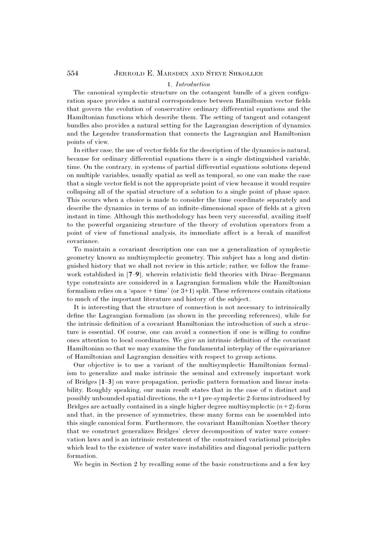### 1. Introduction

The canonical symplectic structure on the cotangent bundle of a given configuration space provides a natural correspondence between Hamiltonian vector fields that govern the evolution of conservative ordinary differential equations and the Hamiltonian functions which describe them. The setting of tangent and cotangent bundles also provides a natural setting for the Lagrangian description of dynamics and the Legendre transformation that connects the Lagrangian and Hamiltonian points of view.

In either case, the use of vector fields for the description of the dynamics is natural, because for ordinary differential equations there is a single distinguished variable, time. On the contrary, in systems of partial differential equations solutions depend on multiple variables, usually spatial as well as temporal, so one can make the case that a single vector field is not the appropriate point of view because it would require collapsing all of the spatial structure of a solution to a single point of phase space. This occurs when a choice is made to consider the time coordinate separately and describe the dynamics in terms of an infinite-dimensional space of fields at a given instant in time. Although this methodology has been very successful, availing itself to the powerful organizing structure of the theory of evolution operators from a point of view of functional analysis, its immediate affect is a break of manifest covariance.

To maintain a covariant description one can use a generalization of symplectic geometry known as multisymplectic geometry. This subject has a long and distinguished history that we shall not review in this article; rather, we follow the framework established in [7–9], wherein relativistic field theories with Dirac–Bergmann type constraints are considered in a Lagrangian formalism while the Hamiltonian formalism relies on a 'space  $+$  time' (or  $3+1$ ) split. These references contain citations to much of the important literature and history of the subject.

It is interesting that the structure of connection is not necessary to intrinsically define the Lagrangian formalism (as shown in the preceding references), while for the intrinsic definition of a covariant Hamiltonian the introduction of such a structure is essential. Of course, one can avoid a connection if one is willing to confine ones attention to local coordinates. We give an intrinsic definition of the covariant Hamiltonian so that we may examine the fundamental interplay of the equivariance of Hamiltonian and Lagrangian densities with respect to group actions.

Our objective is to use a variant of the multisymplectic Hamiltonian formalism to generalize and make intrinsic the seminal and extremely important work of Bridges [1–3] on wave propagation, periodic pattern formation and linear instability. Roughly speaking, our main result states that in the case of  $n$  distinct and possibly unbounded spatial directions, the  $n+1$  pre-symplectic 2-forms introduced by Bridges are actually contained in a single higher degree multisymplectic  $(n+2)$ -form and that, in the presence of symmetries, these many forms can be assembled into this single canonical form. Furthermore, the covariant Hamiltonian Noether theory that we construct generalizes Bridges' clever decomposition of water wave conservation laws and is an intrinsic restatement of the constrained variational principles which lead to the existence of water wave instabilities and diagonal periodic pattern formation.

We begin in Section 2 by recalling some of the basic constructions and a few key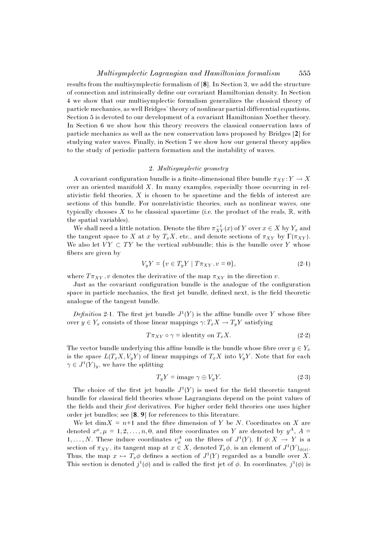results from the multisymplectic formalism of [8]. In Section 3, we add the structure of connection and intrinsically define our covariant Hamiltonian density. In Section 4 we show that our multisymplectic formalism generalizes the classical theory of particle mechanics, as well Bridges' theory of nonlinear partial differential equations. Section 5 is devoted to our development of a covariant Hamiltonian Noether theory. In Section 6 we show how this theory recovers the classical conservation laws of particle mechanics as well as the new conservation laws proposed by Bridges [2] for studying water waves. Finally, in Section 7 we show how our general theory applies to the study of periodic pattern formation and the instability of waves.

## 2. Multisymplectic geometry

A covariant configuration bundle is a finite-dimensional fibre bundle  $\pi_{XY} : Y \to X$ over an oriented manifold  $X$ . In many examples, especially those occurring in relativistic field theories, X is chosen to be spacetime and the fields of interest are sections of this bundle. For nonrelativistic theories, such as nonlinear waves, one typically chooses  $X$  to be classical spacetime (i.e. the product of the reals,  $\mathbb{R}$ , with the spatial variables).

We shall need a little notation. Denote the fibre  $\pi_{XY}^{-1}(x)$  of Y over  $x \in X$  by  $Y_x$  and the tangent space to X at x by  $T_xX$ , etc., and denote sections of  $\pi_{XY}$  by  $\Gamma(\pi_{XY})$ . We also let  $VY \subset TY$  be the vertical subbundle; this is the bundle over Y whose fibers are given by

$$
V_y Y = \{ v \in T_y Y \mid T \pi_{XY} \cdot v = 0 \},\tag{2-1}
$$

where  $T\pi_{XY}.v$  denotes the derivative of the map  $\pi_{XY}$  in the direction v.

Just as the covariant configuration bundle is the analogue of the configuration space in particle mechanics, the first jet bundle, defined next, is the field theoretic analogue of the tangent bundle.

Definition 2.1. The first jet bundle  $J^1(Y)$  is the affine bundle over Y whose fibre over  $y \in Y_x$  consists of those linear mappings  $\gamma: T_x X \to T_y Y$  satisfying

$$
T\pi_{XY} \circ \gamma = \text{identity on } T_x X. \tag{2-2}
$$

The vector bundle underlying this affine bundle is the bundle whose fibre over  $y \in Y_x$ is the space  $L(T_xX, V_yY)$  of linear mappings of  $T_xX$  into  $V_yY$ . Note that for each  $\gamma \in J^1(Y)_y$ , we have the splitting

$$
T_y Y = \text{image } \gamma \oplus V_y Y. \tag{2-3}
$$

The choice of the first jet bundle  $J^1(Y)$  is used for the field theoretic tangent bundle for classical field theories whose Lagrangians depend on the point values of the fields and their first derivatives. For higher order field theories one uses higher order jet bundles; see [8, 9] for references to this literature.

We let dim $X = n+1$  and the fibre dimension of Y be N. Coordinates on X are denoted  $x^{\mu}, \mu = 1, 2, \ldots, n, 0$ , and fibre coordinates on Y are denoted by  $y^A$ ,  $A =$  $1,\ldots,N$ . These induce coordinates  $v^A_\mu$  on the fibres of  $J^1(Y)$ . If  $\phi: X \to Y$  is a section of  $\pi_{XY}$ , its tangent map at  $x \in X$ , denoted  $T_x \phi$ , is an element of  $J^1(Y)_{\phi(x)}$ . Thus, the map  $x \mapsto T_x\phi$  defines a section of  $J^1(Y)$  regarded as a bundle over X. This section is denoted  $j^1(\phi)$  and is called the first jet of  $\phi$ . In coordinates,  $j^1(\phi)$  is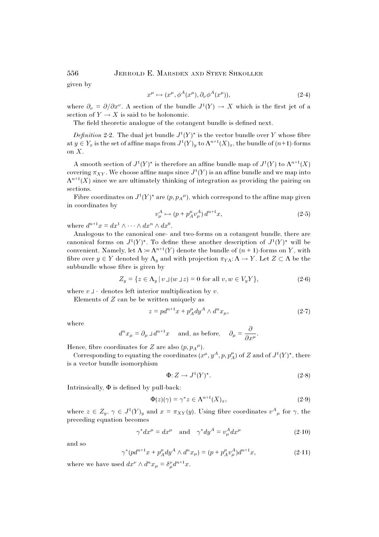given by

$$
x^{\mu} \mapsto (x^{\mu}, \phi^{A}(x^{\mu}), \partial_{\nu} \phi^{A}(x^{\mu})), \tag{2-4}
$$

where  $\partial_{\nu} = \partial/\partial x^{\nu}$ . A section of the bundle  $J^1(Y) \to X$  which is the first jet of a section of  $Y \to X$  is said to be holonomic.

The field theoretic analogue of the cotangent bundle is defined next.

*Definition* 2.2. The dual jet bundle  $J^1(Y)^*$  is the vector bundle over Y whose fibre at  $y \in Y_x$  is the set of affine maps from  $J^1(Y)_y$  to  $\Lambda^{n+1}(X)_x$ , the bundle of  $(n+1)$ -forms on X.

A smooth section of  $J^1(Y)^*$  is therefore an affine bundle map of  $J^1(Y)$  to  $\Lambda^{n+1}(X)$ covering  $\pi_{XY}$ . We choose affine maps since  $J^1(Y)$  is an affine bundle and we map into  $\Lambda^{n+1}(X)$  since we are ultimately thinking of integration as providing the pairing on sections.

Fibre coordinates on  $J^1(Y)^*$  are  $(p, p_A^{\mu})$ , which correspond to the affine map given in coordinates by

$$
v_{\mu}^{A} \mapsto (p + p_{A}^{\mu} v_{\mu}^{A}) d^{n+1} x, \qquad (2.5)
$$

where  $d^{n+1}x = dx^1 \wedge \cdots \wedge dx^n \wedge dx^0$ .

Analogous to the canonical one- and two-forms on a cotangent bundle, there are canonical forms on  $J^1(Y)^*$ . To define these another description of  $J^1(Y)^*$  will be convenient. Namely, let  $\Lambda = \Lambda^{n+1}(Y)$  denote the bundle of  $(n + 1)$ -forms on Y, with fibre over  $y \in Y$  denoted by  $\Lambda_y$  and with projection  $\pi_{Y\Lambda} : \Lambda \to Y$ . Let  $Z \subset \Lambda$  be the subbundle whose fibre is given by

$$
Z_y = \{ z \in \Lambda_y \mid v \sqcup (w \sqcup z) = 0 \text{ for all } v, w \in V_y Y \},\tag{2-6}
$$

where  $v \perp \cdot$  denotes left interior multiplication by v.

Elements of  $Z$  can be be written uniquely as

$$
z = pd^{n+1}x + p_A^{\mu}dy^A \wedge d^n x_{\mu}, \qquad (2.7)
$$

where

$$
d^n x_\mu = \partial_\mu \lrcorner d^{n+1} x
$$
 and, as before,  $\partial_\mu = \frac{\partial}{\partial x^\mu}$ .

Hence, fibre coordinates for Z are also  $(p, p_A^{\mu})$ .

Corresponding to equating the coordinates  $(x^{\mu}, y^A, p, p^{\mu}_A)$  of Z and of  $J^1(Y)^*$ , there is a vector bundle isomorphism

$$
\Phi: Z \to J^1(Y)^*.
$$
 (2.8)

Intrinsically, Φ is defined by pull-back:

$$
\Phi(z)(\gamma) = \gamma^* z \in \Lambda^{n+1}(X)_x,\tag{2.9}
$$

where  $z \in Z_y$ ,  $\gamma \in J^1(Y)_y$  and  $x = \pi_{XY}(y)$ . Using fibre coordinates  $v^A{}_\mu$  for  $\gamma$ , the preceding equation becomes

$$
\gamma^* dx^{\mu} = dx^{\mu} \quad \text{and} \quad \gamma^* dy^A = v^A_{\mu} dx^{\mu} \tag{2.10}
$$

and so

$$
\gamma^* (p d^{n+1} x + p_A^{\mu} dy^A \wedge d^n x_{\mu}) = (p + p_A^{\mu} v_{\mu}^A) d^{n+1} x, \qquad (2.11)
$$

where we have used  $dx^{\nu} \wedge d^{n}x_{\mu} = \delta_{\mu}^{\nu} d^{n+1}x$ .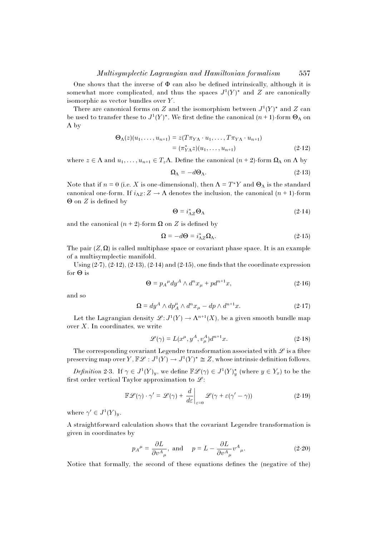One shows that the inverse of  $\Phi$  can also be defined intrinsically, although it is somewhat more complicated, and thus the spaces  $J^1(Y)^*$  and Z are canonically isomorphic as vector bundles over Y .

There are canonical forms on Z and the isomorphism between  $J^1(Y)^*$  and Z can be used to transfer these to  $J^1(Y)^*$ . We first define the canonical  $(n + 1)$ -form  $\Theta_{\Lambda}$  on Λ by

$$
\Theta_{\Lambda}(z)(u_1, \ldots, u_{n+1}) = z(T\pi_{Y\Lambda} \cdot u_1, \ldots, T\pi_{Y\Lambda} \cdot u_{n+1})
$$
  
=  $(\pi_{Y\Lambda}^* z)(u_1, \ldots, u_{n+1})$  (2.12)

where  $z \in \Lambda$  and  $u_1, \ldots, u_{n+1} \in T_z \Lambda$ . Define the canonical  $(n+2)$ -form  $\Omega_\Lambda$  on  $\Lambda$  by

$$
\Omega_{\Lambda} = -d\Theta_{\Lambda}.\tag{2.13}
$$

Note that if  $n = 0$  (i.e. X is one-dimensional), then  $\Lambda = T^*Y$  and  $\Theta_{\Lambda}$  is the standard canonical one-form. If  $i_{\Delta Z}:Z\to\Lambda$  denotes the inclusion, the canonical  $(n + 1)$ -form Θ on Z is defined by

$$
\Theta = i_{\Lambda Z}^* \Theta_\Lambda \tag{2.14}
$$

and the canonical  $(n + 2)$ -form  $\Omega$  on Z is defined by

$$
\Omega = -d\Theta = i_{\Lambda Z}^* \Omega_{\Lambda}.
$$
\n(2.15)

The pair  $(Z, \Omega)$  is called multiphase space or covariant phase space. It is an example of a multisymplectic manifold.

Using  $(2\cdot7)$ ,  $(2\cdot12)$ ,  $(2\cdot13)$ ,  $(2\cdot14)$  and  $(2\cdot15)$ , one finds that the coordinate expression for Θ is

$$
\Theta = p_A^{\mu} dy^A \wedge d^n x_{\mu} + p d^{n+1} x, \qquad (2.16)
$$

and so

$$
\Omega = dy^A \wedge dp_A^{\mu} \wedge d^n x_{\mu} - dp \wedge d^{n+1} x. \tag{2.17}
$$

Let the Lagrangian density  $\mathscr{L}: J^1(Y) \to \Lambda^{n+1}(X)$ , be a given smooth bundle map over  $X$ . In coordinates, we write

$$
\mathcal{L}(\gamma) = L(x^{\mu}, y^A, v^A_{\mu})d^{n+1}x.
$$
\n(2.18)

The corresponding covariant Legendre transformation associated with  $\mathscr L$  is a fibre preserving map over  $Y, \mathbb{F}\mathscr{L}: J^1(Y) \to J^1(Y)^* \cong Z$ , whose intrinsic definition follows.

Definition 2.3. If  $\gamma \in J^1(Y)_y$ , we define  $\mathbb{F}\mathscr{L}(\gamma) \in J^1(Y)^*_{y}$  (where  $y \in Y_x$ ) to be the first order vertical Taylor approximation to  $\mathscr{L}$ :

$$
\mathbb{F}\mathscr{L}(\gamma) \cdot \gamma' = \mathscr{L}(\gamma) + \left. \frac{d}{d\varepsilon} \right|_{\varepsilon=0} \mathscr{L}(\gamma + \varepsilon(\gamma' - \gamma))
$$
 (2.19)

where  $\gamma' \in J^1(Y)_y$ .

A straightforward calculation shows that the covariant Legendre transformation is given in coordinates by

$$
p_A^{\mu} = \frac{\partial L}{\partial v_{\mu}^A}, \text{ and } p = L - \frac{\partial L}{\partial v_{\mu}^A} v_{\mu}^A.
$$
 (2.20)

Notice that formally, the second of these equations defines the (negative of the)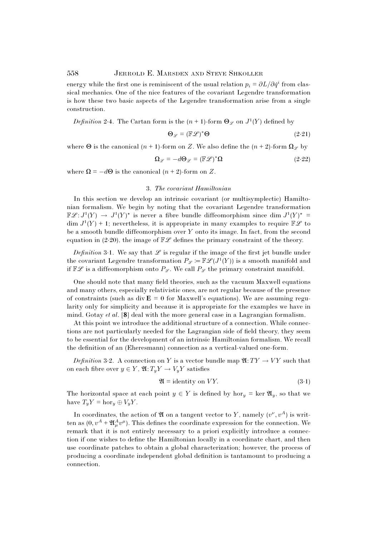energy while the first one is reminiscent of the usual relation  $p_i = \partial L / \partial \dot{q}^i$  from classical mechanics. One of the nice features of the covariant Legendre transformation is how these two basic aspects of the Legendre transformation arise from a single construction.

Definition 2.4. The Cartan form is the  $(n + 1)$ -form  $\Theta_{\mathscr{L}}$  on  $J^1(Y)$  defined by

$$
\mathbf{\Theta}_{\mathscr{L}} = (\mathbb{F}\mathscr{L})^* \mathbf{\Theta} \tag{2.21}
$$

where  $\Theta$  is the canonical  $(n + 1)$ -form on Z. We also define the  $(n + 2)$ -form  $\Omega_{\mathscr{L}}$  by

$$
\Omega_{\mathcal{L}} = -d\Theta_{\mathcal{L}} = (\mathbb{F}\mathcal{L})^*\Omega \tag{2.22}
$$

where  $\Omega = -d\Theta$  is the canonical  $(n + 2)$ -form on Z.

#### 3. The covariant Hamiltonian

In this section we develop an intrinsic covariant (or multisymplectic) Hamiltonian formalism. We begin by noting that the covariant Legendre transformation  $\mathbb{F}\mathscr{L}:J^1(Y) \to J^1(Y)^*$  is never a fibre bundle diffeomorphism since dim  $J^1(Y)^* =$ dim  $J^1(Y)$  + 1; nevertheless, it is appropriate in many examples to require  $\mathbb{F}\mathscr{L}$  to be a smooth bundle diffeomorphism over Y onto its image. In fact, from the second equation in (2.20), the image of  $\mathbb{FZ}$  defines the primary constraint of the theory.

Definition 3.1. We say that  $\mathscr L$  is regular if the image of the first jet bundle under the covariant Legendre transformation  $P_{\mathscr{L}} := \mathbb{F}\mathscr{L}(J^1(Y))$  is a smooth manifold and if  $\mathbb{F}\mathscr{L}$  is a diffeomorphism onto  $P_{\mathscr{L}}$ . We call  $P_{\mathscr{L}}$  the primary constraint manifold.

One should note that many field theories, such as the vacuum Maxwell equations and many others, especially relativistic ones, are not regular because of the presence of constraints (such as div  $E = 0$  for Maxwell's equations). We are assuming regularity only for simplicity and because it is appropriate for the examples we have in mind. Gotay *et al.* [8] deal with the more general case in a Lagrangian formalism.

At this point we introduce the additional structure of a connection. While connections are not particularly needed for the Lagrangian side of field theory, they seem to be essential for the development of an intrinsic Hamiltonian formalism. We recall the definition of an (Eheresmann) connection as a vertical-valued one-form.

Definition 3.2. A connection on Y is a vector bundle map  $\mathfrak{A}:TY \to VY$  such that on each fibre over  $y \in Y$ ,  $\mathfrak{A}: T_yY \to V_yY$  satisfies

$$
\mathfrak{A} = \text{identity on } VY. \tag{3-1}
$$

The horizontal space at each point  $y \in Y$  is defined by hor<sub>y</sub> = ker  $\mathfrak{A}_y$ , so that we have  $T_yY = \text{hor}_y \oplus V_yY$ .

In coordinates, the action of  $\mathfrak A$  on a tangent vector to Y, namely  $(v^{\nu}, v^A)$  is written as  $(0, v^A + \mathfrak{A}^A_{\mu}v^{\mu})$ . This defines the coordinate expression for the connection. We remark that it is not entirely necessary to a priori explicitly introduce a connection if one wishes to define the Hamiltonian locally in a coordinate chart, and then use coordinate patches to obtain a global characterization; however, the process of producing a coordinate independent global definition is tantamount to producing a connection.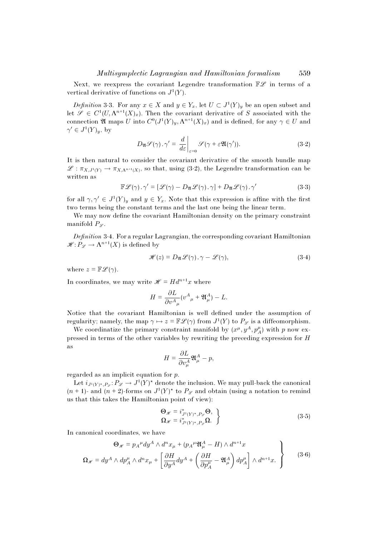Next, we reexpress the covariant Legendre transformation  $\mathbb{F}\mathscr{L}$  in terms of a vertical derivative of functions on  $J^1(Y)$ .

*Definition* 3·3. For any  $x \in X$  and  $y \in Y_x$ , let  $U \subset J^1(Y)_y$  be an open subset and let  $\mathscr{S} \in C^1(U, \Lambda^{n+1}(X)_x)$ . Then the covariant derivative of S associated with the connection  $\mathfrak A$  maps U into  $C^0(J^1(Y)_y, \Lambda^{n+1}(X)_x)$  and is defined, for any  $\gamma \in U$  and  $\gamma' \in J^1(Y)_y$ , by

$$
D_{\mathfrak{A}}\mathcal{S}(\gamma)\cdot\gamma'=\left.\frac{d}{d\varepsilon}\right|_{\varepsilon=0}\mathcal{S}(\gamma+\varepsilon\mathfrak{A}(\gamma')).\tag{3.2}
$$

It is then natural to consider the covariant derivative of the smooth bundle map  $L: \pi_{X,J^1(Y)} \to \pi_{X,\Lambda^{n+1}(X)}$ , so that, using (3.2), the Legendre transformation can be written as

$$
\mathbb{F}\mathscr{L}(\gamma).\gamma' = [\mathscr{L}(\gamma) - D_{\mathfrak{A}}\mathscr{L}(\gamma).\gamma] + D_{\mathfrak{A}}\mathscr{L}(\gamma).\gamma'
$$
(3.3)

for all  $\gamma, \gamma' \in J^1(Y)_y$  and  $y \in Y_x$ . Note that this expression is affine with the first two terms being the constant terms and the last one being the linear term.

We may now define the covariant Hamiltonian density on the primary constraint manifold  $P_{\mathscr{L}}$ .

Definition 3·4. For a regular Lagrangian, the corresponding covariant Hamiltonian  $\mathscr{H}: P_{\mathscr{L}} \to \Lambda^{n+1}(X)$  is defined by

$$
\mathcal{H}(z) = D_{\mathfrak{A}}\mathcal{L}(\gamma) \cdot \gamma - \mathcal{L}(\gamma), \tag{3-4}
$$

where  $z = \mathbb{F}\mathscr{L}(\gamma)$ .

In coordinates, we may write  $\mathcal{H} = H d^{n+1}x$  where

$$
H = \frac{\partial L}{\partial v_{\mu}} (v_{\mu}^A + \mathfrak{A}_{\mu}^A) - L.
$$

Notice that the covariant Hamiltonian is well defined under the assumption of regularity; namely, the map  $\gamma \mapsto z = \mathbb{F}\mathscr{L}(\gamma)$  from  $J^1(Y)$  to  $P_{\mathscr{L}}$  is a diffeomorphism.

We coordinatize the primary constraint manifold by  $(x^{\mu}, y^A, p^{\mu}_A)$  with p now expressed in terms of the other variables by rewriting the preceding expression for H as

$$
H = \frac{\partial L}{\partial v_{\mu}^A} \mathfrak{A}_{\mu}^A - p,
$$

regarded as an implicit equation for p.

Let  $i_{J^1(Y)^*, P_{\mathscr{L}}}: P_{\mathscr{L}} \to J^1(Y)^*$  denote the inclusion. We may pull-back the canonical  $(n + 1)$ - and  $(n + 2)$ -forms on  $J^1(Y)^*$  to  $P_{\mathscr{L}}$  and obtain (using a notation to remind us that this takes the Hamiltonian point of view):

$$
\Theta_{\mathscr{H}} = i_{J^1(Y)^*, P_{\mathscr{L}}}^* \Theta, \qquad \qquad (3.5)
$$
\n
$$
\Omega_{\mathscr{H}} = i_{J^1(Y)^*, P_{\mathscr{L}}}^* \Omega. \qquad \qquad (3.5)
$$

In canonical coordinates, we have

$$
\Theta_{\mathscr{H}} = p_A^{\mu} dy^A \wedge d^n x_{\mu} + (p_A^{\mu} \mathfrak{A}_{\mu}^A - H) \wedge d^{n+1} x
$$
  

$$
\Omega_{\mathscr{H}} = dy^A \wedge dp_A^{\mu} \wedge d^n x_{\mu} + \left[ \frac{\partial H}{\partial y^A} dy^A + \left( \frac{\partial H}{\partial p_A^{\mu}} - \mathfrak{A}_{\mu}^A \right) dp_A^{\mu} \right] \wedge d^{n+1} x.
$$
 (3.6)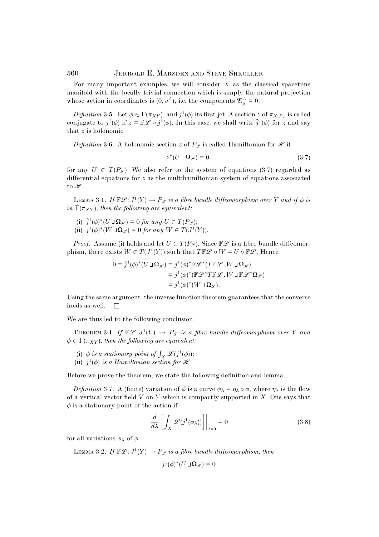For many important examples, we will consider  $X$  as the classical spacetime manifold with the locally trivial connection which is simply the natural projection whose action in coordinates is  $(0, v^A)$ , i.e. the components  $\mathfrak{A}^A_\mu = 0$ .

Definition 3.5. Let  $\phi \in \Gamma(\pi_{XY})$ , and  $j^1(\phi)$  its first jet. A section z of  $\pi_{X,P_{\mathscr{F}}}$  is called conjugate to  $j^1(\phi)$  if  $z = \mathbb{F}\mathscr{L} \circ j^1(\phi)$ . In this case, we shall write  $\tilde{j}^1(\phi)$  for z and say that z is holonomic.

Definition 3.6. A holonomic section z of  $P_{\mathscr{L}}$  is called Hamiltonian for  ${\mathscr{H}}$  if

$$
z^*(U \sqcup \Omega_{\mathscr{H}}) = 0. \tag{3-7}
$$

for any  $U \in T(P_{\varphi})$ . We also refer to the system of equations (3.7) regarded as differential equations for  $z$  as the multihamiltonian system of equations associated to  $\mathscr{H}$ .

LEMMA 3.1. If  $\mathbb{F}\mathscr{L}: J^1(Y) \to P_{\mathscr{L}}$  is a fibre bundle diffeomorphism over Y and if  $\phi$  is in  $\Gamma(\pi_{XY})$ , then the following are equivalent:

(i)  $\tilde{j}^1(\phi)^*(U \sqcup \Omega_{\mathscr{H}}) = 0$  for any  $U \in T(P_{\mathscr{L}});$ (ii)  $j^1(\phi)^*(W \sqcup \Omega_{\mathscr{L}}) = 0$  for any  $W \in T(J^1(Y)).$ 

*Proof.* Assume (i) holds and let  $U \in T(P_{\mathscr{L}})$ . Since  $\mathbb{F}\mathscr{L}$  is a fibre bundle diffeomorphism, there exists  $W \in T(J^1(Y))$  such that  $T \mathbb{F} \mathscr{L} \circ W = U \circ \mathbb{F} \mathscr{L}$ . Hence,

$$
0 = \tilde{j}^{1}(\phi)^{*}(U \sqcup \Omega_{\mathscr{H}}) = j^{1}(\phi)^{*}\mathbb{F}\mathscr{L}^{*}(T\mathbb{F}\mathscr{L}.W \sqcup \Omega_{\mathscr{H}})
$$
  
=  $j^{1}(\phi)^{*}(\mathbb{F}\mathscr{L}^{*}T\mathbb{F}\mathscr{L}.W \sqcup \mathbb{F}\mathscr{L}^{*}\Omega_{\mathscr{H}})$   
=  $j^{1}(\phi)^{*}(W \sqcup \Omega_{\mathscr{L}}).$ 

Using the same argument, the inverse function theorem guarantees that the converse holds as well.  $\Box$ 

We are thus led to the following conclusion.

THEOREM 3.1. If  $\mathbb{F}\mathscr{L}:J^1(Y) \to P_{\mathscr{L}}$  is a fibre bundle diffeomorphism over Y and  $\phi \in \Gamma(\pi_{XY})$ , then the following are equivalent:

- (i)  $\phi$  is a stationary point of  $\int_X \mathcal{L}(j^1(\phi));$
- (ii)  $\tilde{j}^1(\phi)$  is a Hamiltonian section for  $\mathcal{H}$ .

Before we prove the theorem, we state the following definition and lemma.

*Definition* 3.7. A (finite) variation of  $\phi$  is a curve  $\phi_{\lambda} = \eta_{\lambda} \circ \phi$ , where  $\eta_{\lambda}$  is the flow of a vertical vector field  $V$  on  $Y$  which is compactly supported in  $X$ . One says that  $\phi$  is a stationary point of the action if

$$
\frac{d}{d\lambda} \left[ \int_X \mathcal{L}(j^1(\phi_\lambda)) \right] \bigg|_{\lambda=0} = 0 \tag{3.8}
$$

for all variations  $\phi_{\lambda}$  of  $\phi$ .

LEMMA 3.2. If  $\mathbb{F}\mathscr{L}: J^1(Y) \to P_{\mathscr{L}}$  is a fibre bundle diffeomorphism, then

$$
\tilde{j}^1(\phi)^*(U\,\lrcorner\,\Omega_{\mathscr{H}})=0
$$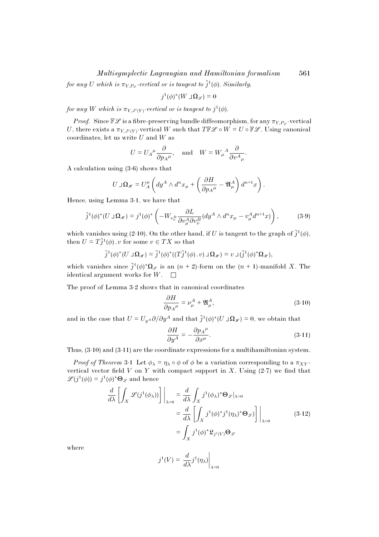for any U which is  $\pi_{Y,P_{\mathscr{L}}}$ -vertical or is tangent to  $\tilde{j}^1(\phi)$ . Similarly,

$$
j^1(\phi)^*(W\,\lrcorner\,\Omega_\mathscr{L})=0
$$

for any W which is  $\pi_{Y,J^1(Y)}$ -vertical or is tangent to j<sup>1</sup>( $\phi$ ).

*Proof.* Since  $\mathbb{F}\mathscr{L}$  is a fibre-preserving bundle diffeomorphism, for any  $\pi_{Y,P\varphi}$ -vertical U, there exists a  $\pi_{Y,J^1(Y)}$ -vertical W such that  $T\mathbb{F}\mathscr{L} \circ W = U \circ \mathbb{F}\mathscr{L}$ . Using canonical coordinates, let us write  $U$  and  $W$  as

$$
U = U_A^{\mu} \frac{\partial}{\partial p_{A^{\mu}}}, \text{ and } W = W_{\mu}^{\ \ A} \frac{\partial}{\partial v^A_{\ \mu}}.
$$

A calculation using (3·6) shows that

$$
U \,\lrcorner\,\Omega_{\mathscr{H}} = U^{\mu}_{A} \left( dy^{A} \wedge d^{n}x_{\mu} + \left( \frac{\partial H}{\partial p_{A}{}^{\mu}} - \mathfrak{A}^{A}_{\mu} \right) d^{n+1}x \right).
$$

Hence, using Lemma 3·1, we have that

$$
\tilde{j}^1(\phi)^*(U \sqcup \Omega_{\mathscr{H}}) = j^1(\phi)^* \left( -W_{v^B_\nu} \frac{\partial L}{\partial v^A_\mu \partial v^B_\nu} (dy^A \wedge d^n x_\mu - v^A_\mu d^{n+1} x) \right), \tag{3.9}
$$

which vanishes using (2.10). On the other hand, if U is tangent to the graph of  $\tilde{j}^1(\phi)$ , then  $U = T\tilde{j}^{1}(\phi)$ , v for some  $v \in TX$  so that

$$
\tilde{j}^1(\phi)^*(U \sqcup \Omega_{\mathscr{H}}) = \tilde{j}^1(\phi)^*(T\tilde{j}^1(\phi).v) \sqcup \Omega_{\mathscr{H}}) = v \sqcup (\tilde{j}^1(\phi)^*\Omega_{\mathscr{H}}),
$$

which vanishes since  $\tilde{j}^1(\phi)^*\Omega_{\mathscr{L}}$  is an  $(n+2)$ -form on the  $(n + 1)$ -manifold X. The identical argument works for  $W$ .  $\Box$ 

The proof of Lemma 3·2 shows that in canonical coordinates

$$
\frac{\partial H}{\partial p_A^{\mu}} = \nu_{\mu}^A + \mathfrak{A}_{\mu}^A, \tag{3.10}
$$

and in the case that  $U = U_{y} A \partial/\partial y^A$  and that  $\tilde{j}^1(\phi)^*(U \Box \Omega_{\mathscr{H}}) = 0$ , we obtain that

$$
\frac{\partial H}{\partial y^A} = -\frac{\partial p_A{}^\mu}{\partial x^\mu}.\tag{3.11}
$$

Thus, (3·10) and (3·11) are the coordinate expressions for a multihamiltonian system.

*Proof of Theorem* 3·1 Let  $\phi_{\lambda} = \eta_{\lambda} \circ \phi$  of  $\phi$  be a variation corresponding to a  $\pi_{XY}$ vertical vector field  $V$  on  $Y$  with compact support in  $X$ . Using (2.7) we find that  $\mathscr{L}(j^1(\phi)) = j^1(\phi)^* \Theta_{\mathscr{L}}$  and hence

$$
\frac{d}{d\lambda} \left[ \int_X \mathcal{L}(j^1(\phi_\lambda)) \right] \Big|_{\lambda=0} = \frac{d}{d\lambda} \int_X j^1(\phi_\lambda)^* \Theta_{\mathcal{L}} |_{\lambda=0}
$$

$$
= \frac{d}{d\lambda} \left[ \int_X j^1(\phi)^* j^1(\eta_\lambda)^* \Theta_{\mathcal{L}} \right] \Big|_{\lambda=0}
$$
(3.12)
$$
= \int_X j^1(\phi)^* \mathfrak{L}_{j^1(V)} \Theta_{\mathcal{L}}
$$

where

$$
j^1(V) = \left. \frac{d}{d\lambda} j^1(\eta_\lambda) \right|_{\lambda = 0}
$$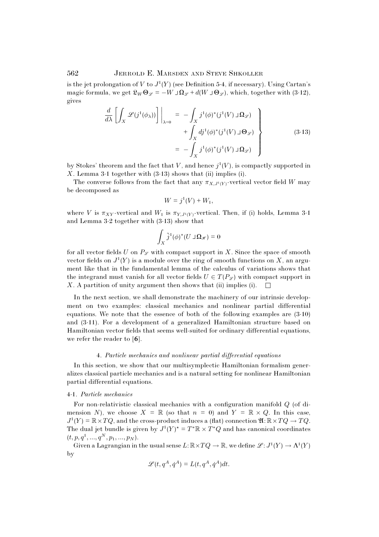is the jet prolongation of V to  $J^1(Y)$  (see Definition 5.4, if necessary). Using Cartan's magic formula, we get  $\mathfrak{L}_W \mathfrak{O}_{\mathscr{L}} = -W \mathfrak{Q}_{\mathscr{L}} + d(W \mathfrak{Q}_{\mathscr{L}})$ , which, together with (3·12), gives

$$
\frac{d}{d\lambda} \left[ \int_X \mathcal{L}(j^1(\phi_\lambda)) \right] \Big|_{\lambda=0} = - \int_X j^1(\phi)^*(j^1(V) \sqcup \Omega_{\mathcal{L}}) + \int_X dj^1(\phi)^*(j^1(V) \sqcup \Theta_{\mathcal{L}}) + \int_X dj^1(\phi)^*(j^1(V) \sqcup \Omega_{\mathcal{L}})
$$
\n
$$
= - \int_X j^1(\phi)^*(j^1(V) \sqcup \Omega_{\mathcal{L}})
$$
\n(3.13)

by Stokes' theorem and the fact that V, and hence  $j^1(V)$ , is compactly supported in X. Lemma 3.1 together with  $(3.13)$  shows that (ii) implies (i).

The converse follows from the fact that any  $\pi_{X,J^1(Y)}$ -vertical vector field W may be decomposed as

$$
W = j^1(V) + W_1,
$$

where V is  $\pi_{XY}$ -vertical and  $W_1$  is  $\pi_{Y,J(Y)}$ -vertical. Then, if (i) holds, Lemma 3·1 and Lemma 3·2 together with (3·13) show that

$$
\int_X \tilde{j}^1(\phi)^*(U\,\lrcorner\,\Omega_{\mathscr{H}})=0
$$

for all vector fields U on  $P_{\mathscr{C}}$  with compact support in X. Since the space of smooth vector fields on  $J^1(Y)$  is a module over the ring of smooth functions on X, an argument like that in the fundamental lemma of the calculus of variations shows that the integrand must vanish for all vector fields  $U \in T(P_{\mathscr{L}})$  with compact support in  $X$ . A partition of unity argument then shows that (ii) implies (i).

In the next section, we shall demonstrate the machinery of our intrinsic development on two examples: classical mechanics and nonlinear partial differential equations. We note that the essence of both of the following examples are (3·10) and (3·11). For a development of a generalized Hamiltonian structure based on Hamiltonian vector fields that seems well-suited for ordinary differential equations, we refer the reader to [6].

## 4. Particle mechanics and nonlinear partial differential equations

In this section, we show that our multisymplectic Hamiltonian formalism generalizes classical particle mechanics and is a natural setting for nonlinear Hamiltonian partial differential equations.

## 4·1. Particle mechanics

For non-relativistic classical mechanics with a configuration manifold Q (of dimension N), we choose  $X = \mathbb{R}$  (so that  $n = 0$ ) and  $Y = \mathbb{R} \times Q$ . In this case,  $J^1(Y) = \mathbb{R} \times TQ$ , and the cross-product induces a (flat) connection  $\mathfrak{A} : \mathbb{R} \times TQ \to TQ$ . The dual jet bundle is given by  $J^1(Y)^* = T^* \mathbb{R} \times T^* Q$  and has canonical coordinates  $(t, p, q<sup>1</sup>, ..., q<sup>N</sup>, p<sub>1</sub>, ..., p<sub>N</sub>).$ 

Given a Lagrangian in the usual sense  $L: \mathbb{R} \times TQ \to \mathbb{R}$ , we define  $\mathscr{L}: J^1(Y) \to \Lambda^1(Y)$ by

$$
\mathcal{L}(t, q^A, \dot{q}^A) = L(t, q^A, \dot{q}^A)dt.
$$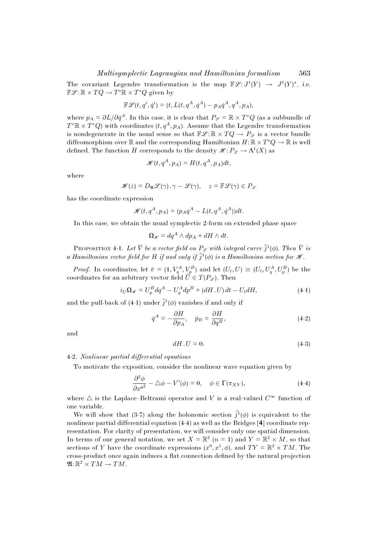The covariant Legendre transformation is the map  $\mathbb{F}\mathscr{L}: J^1(Y) \rightarrow J^1(Y)^*$ , i.e.  $\mathbb{F}\mathscr{L}:\mathbb{R}\times TQ\to T^*\mathbb{R}\times T^*Q$  given by

$$
\mathbb{F}\mathscr{L}(t,q^i,\dot{q}^i)=(t,L(t,q^A,\dot{q}^A)-p_A\dot{q}^A,q^A,p_A),
$$

where  $p_A = \partial L / \partial \dot{q}^A$ . In this case, it is clear that  $P_{\mathscr{L}} = \mathbb{R} \times T^*Q$  (as a subbundle of  $T^*\mathbb{R} \times T^*Q$ ) with coordinates  $(t, q^A, p_A)$ . Assume that the Legendre transformation is nondegenerate in the usual sense so that  $\mathbb{F}\mathscr{L}:\mathbb{R}\times TQ \to P_{\mathscr{L}}$  is a vector bundle diffeomorphism over R and the corresponding Hamiltonian  $H: \mathbb{R} \times T^*Q \to \mathbb{R}$  is well defined. The function H corresponds to the density  $\mathscr{H}: P_{\mathscr{L}} \to \Lambda^1(X)$  as

$$
\mathcal{H}(t, q^A, p_A) = H(t, q^A, p_A)dt,
$$

where

$$
\mathscr{H}(z) = D_{\mathfrak{A}} \mathscr{L}(\gamma) \cdot \gamma - \mathscr{L}(\gamma), \quad z = \mathbb{F} \mathscr{L}(\gamma) \in P_{\mathscr{L}}
$$

has the coordinate expression

$$
\mathcal{H}(t, q^A, p_A) = (p_A q^A - L(t, q^A, \dot{q}^A))dt.
$$

In this case, we obtain the usual symplectic 2-form on extended phase space

$$
\Omega_{\mathscr{H}} = dq^A \wedge dp_A + dH \wedge dt.
$$

Proposition 4·1. Let  $\bar{V}$  be a vector field on  $P_{\mathscr{L}}$  with integral curve  $\tilde{j}^1(\phi)$ . Then  $\bar{V}$  is a Hamiltonian vector field for H if and only if  $\tilde{j}^1(\phi)$  is a Hamiltonian section for  $\mathscr{H}.$ 

*Proof.* In coordinates, let  $\bar{v} = (1, V_q^A, V_p^B)$  and let  $(U_t, U) \equiv (U_t, U_q^A, U_p^B)$  be the coordinates for an arbitrary vector field  $\bar{U} \in T(P_{\mathscr{L}})$ . Then

$$
i_{\bar{U}}\Omega_{\mathscr{H}} = U_p^B dq^A - U_q^A dp^B + (dH \cdot U) dt - U_t dH,
$$
\n(4.1)

and the pull-back of (4·1) under  $\tilde{j}^{1}(\phi)$  vanishes if and only if

$$
\dot{q}^A = -\frac{\partial H}{\partial p_A}, \quad \dot{p}_B = \frac{\partial H}{\partial q^B}, \tag{4.2}
$$

and

$$
dH \cdot U = 0. \tag{4-3}
$$

## 4·2. Nonlinear partial differential equations

To motivate the exposition, consider the nonlinear wave equation given by

$$
\frac{\partial^2 \phi}{\partial x^0} - \triangle \phi - V'(\phi) = 0, \quad \phi \in \Gamma(\pi_{XY}), \tag{4-4}
$$

where  $\Delta$  is the Laplace–Beltrami operator and V is a real-valued  $C^{\infty}$  function of one variable.

We will show that (3.7) along the holonomic section  $\tilde{j}^1(\phi)$  is equivalent to the nonlinear partial differential equation (4·4) as well as the Bridges [4] coordinate representation. For clarity of presentation, we will consider only one spatial dimension. In terms of our general notation, we set  $X = \mathbb{R}^2$   $(n = 1)$  and  $Y = \mathbb{R}^2 \times M$ , so that sections of Y have the coordinate expressions  $(x^0, x^1, \phi)$ , and  $TY = \mathbb{R}^2 \times TM$ . The cross-product once again induces a flat connection defined by the natural projection  $\mathfrak{A}\colon \mathbb{R}^2 \times TM \to TM$ .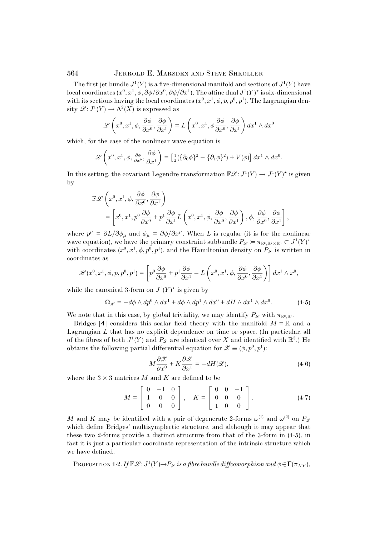The first jet bundle  $J^1(Y)$  is a five-dimensional manifold and sections of  $J^1(Y)$  have local coordinates  $(x^0,x^1,\phi,\partial\phi/\partial x^0,\partial\phi/\partial x^1).$  The affine dual  $J^1(Y)^\star$  is six-dimensional with its sections having the local coordinates  $(x^0, x^1, \phi, p, p^0, p^1)$ . The Lagrangian density  $\mathscr{L}: J^1(Y) \to \Lambda^2(X)$  is expressed as

$$
\mathscr{L}\left(x^{0},x^{1},\phi,\frac{\partial\phi}{\partial x^{0}},\frac{\partial\phi}{\partial x^{1}}\right)=L\left(x^{0},x^{1},\phi\frac{\partial\phi}{\partial x^{0}},\frac{\partial\phi}{\partial x^{1}}\right)dx^{1}\wedge dx^{0}
$$

which, for the case of the nonlinear wave equation is

$$
\mathscr{L}\left(x^0, x^1, \phi, \frac{\partial \phi}{\partial x^0}, \frac{\partial \phi}{\partial x^1}\right) = \left[\frac{1}{2}(\{\partial_0 \phi\}^2 - \{\partial_1 \phi\}^2) + V(\phi)\right] dx^1 \wedge dx^0.
$$

In this setting, the covariant Legendre transformation  $\mathbb{F}\mathscr{L}: J^1(Y) \to J^1(Y)^*$  is given by

$$
\mathbb{F}\mathscr{L}\left(x^{0},x^{1},\phi,\frac{\partial\phi}{\partial x^{0}},\frac{\partial\phi}{\partial x^{1}}\right) = \left[x^{0},x^{1},p^{0}\frac{\partial\phi}{\partial x^{0}}+p^{1}\frac{\partial\phi}{\partial x^{1}}L\left(x^{0},x^{1},\phi,\frac{\partial\phi}{\partial x^{0}},\frac{\partial\phi}{\partial x^{1}}\right),\phi,\frac{\partial\phi}{\partial x^{0}},\frac{\partial\phi}{\partial x^{1}}\right],
$$

where  $p^{\mu} = \partial L/\partial \phi_{\mu}$  and  $\phi_{\mu} = \partial \phi/\partial x^{\mu}$ . When L is regular (it is for the nonlinear wave equation), we have the primary constraint subbundle  $P_{\mathscr{L}} \coloneqq \pi_{\mathbb{R}^2, \mathbb{R}^2 \times \mathbb{R}^3} \subset J^1(Y)^\star$ with coordinates  $(x^0, x^1, \phi, p^0, p^1)$ , and the Hamiltonian density on  $P_{\mathscr{L}}$  is written in coordinates as

$$
\mathscr{H}(x^0, x^1, \phi, p, p^0, p^1) = \left[ p^0 \frac{\partial \phi}{\partial x^0} + p^1 \frac{\partial \phi}{\partial x^1} - L \left( x^0, x^1, \phi, \frac{\partial \phi}{\partial x^0}, \frac{\partial \phi}{\partial x^1} \right) \right] dx^1 \wedge x^0,
$$

while the canonical 3-form on  $J^1(Y)^*$  is given by

$$
\Omega_{\mathscr{H}} = -d\phi \wedge dp^{0} \wedge dx^{1} + d\phi \wedge dp^{1} \wedge dx^{0} + dH \wedge dx^{1} \wedge dx^{0}.
$$
 (4.5)

We note that in this case, by global triviality, we may identify  $P_{\mathscr{L}}$  with  $\pi_{\mathbb{R}^2,\mathbb{R}^3}$ .

Bridges [4] considers this scalar field theory with the manifold  $M = \mathbb{R}$  and a Lagrangian L that has no explicit dependence on time or space. (In particular, all of the fibres of both  $J^1(Y)$  and  $P_{\mathscr{L}}$  are identical over X and identified with  $\mathbb{R}^3$ .) He obtains the following partial differential equation for  $\mathscr{Z} \equiv (\phi, p^0, p^1)$ :

$$
M\frac{\partial \mathcal{Z}}{\partial x^0} + K\frac{\partial \mathcal{Z}}{\partial x^1} = -dH(\mathcal{Z}),\tag{4-6}
$$

where the  $3 \times 3$  matrices M and K are defined to be

$$
M = \begin{bmatrix} 0 & -1 & 0 \\ 1 & 0 & 0 \\ 0 & 0 & 0 \end{bmatrix}, \quad K = \begin{bmatrix} 0 & 0 & -1 \\ 0 & 0 & 0 \\ 1 & 0 & 0 \end{bmatrix}.
$$
 (4-7)

M and K may be identified with a pair of degenerate 2-forms  $\omega^{(1)}$  and  $\omega^{(2)}$  on  $P_{\varphi}$ which define Bridges' multisymplectic structure, and although it may appear that these two 2-forms provide a distinct structure from that of the 3-form in (4·5), in fact it is just a particular coordinate representation of the intrinsic structure which we have defined.

PROPOSITION  $4\cdot 2$ . If  $\mathbb{F}\mathscr{L}: J^1(Y) \rightarrow P_{\mathscr{L}}$  is a fibre bundle diffeomorphism and  $\phi \in \Gamma(\pi_{XY})$ ,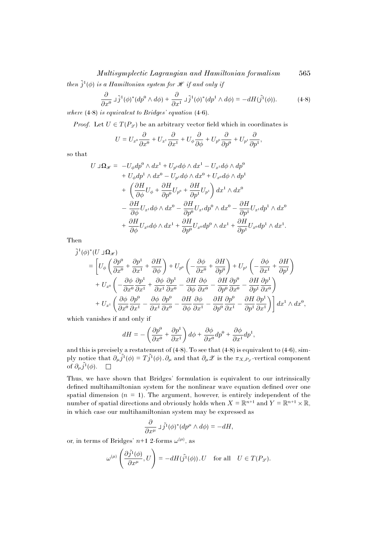then  $\tilde{j}^1(\phi)$  is a Hamiltonian system for H if and only if

$$
\frac{\partial}{\partial x^0} \lrcorner \tilde{j}^1(\phi)^*(dp^0 \wedge d\phi) + \frac{\partial}{\partial x^1} \lrcorner \tilde{j}^1(\phi)^*(dp^1 \wedge d\phi) = -dH(\tilde{j}^1(\phi)).\tag{4-8}
$$

where (4·8) is equivalent to Bridges' equation (4·6).

*Proof.* Let  $U \in T(P_{\mathscr{L}})$  be an arbitrary vector field which in coordinates is

$$
U = U_{x^0} \frac{\partial}{\partial x^0} + U_{x^1} \frac{\partial}{\partial x^1} + U_{\phi} \frac{\partial}{\partial \phi} + U_{p^0} \frac{\partial}{\partial p^0} + U_{p^1} \frac{\partial}{\partial p^1},
$$

so that

$$
U \perp \Omega_{\mathscr{H}} = -U_{\phi}dp^{0} \wedge dx^{1} + U_{p^{0}}d\phi \wedge dx^{1} - U_{x^{1}}d\phi \wedge dp^{0}
$$
  
+ 
$$
U_{\phi}dp^{1} \wedge dx^{0} - U_{p^{1}}d\phi \wedge dx^{0} + U_{x^{0}}d\phi \wedge dp^{1}
$$
  
+ 
$$
\left(\frac{\partial H}{\partial \phi}U_{\phi} + \frac{\partial H}{\partial p^{0}}U_{p^{0}} + \frac{\partial H}{\partial p^{1}}U_{p^{1}}\right)dx^{1} \wedge dx^{0}
$$
  
- 
$$
\frac{\partial H}{\partial \phi}U_{x^{1}}d\phi \wedge dx^{0} - \frac{\partial H}{\partial p^{0}}U_{x^{1}}dp^{0} \wedge dx^{0} - \frac{\partial H}{\partial p^{1}}U_{x^{1}}dp^{1} \wedge dx^{0}
$$
  
+ 
$$
\frac{\partial H}{\partial \phi}U_{x^{0}}d\phi \wedge dx^{1} + \frac{\partial H}{\partial p^{0}}U_{x^{0}}dp^{0} \wedge dx^{1} + \frac{\partial H}{\partial p^{1}}U_{x^{0}}dp^{1} \wedge dx^{1}.
$$

Then

$$
\tilde{j}^{1}(\phi)^{*}(U \perp \Omega_{\mathscr{H}})
$$
\n
$$
= \left[ U_{\phi} \left( \frac{\partial p^{0}}{\partial x^{0}} + \frac{\partial p^{1}}{\partial x^{1}} + \frac{\partial H}{\partial \phi} \right) + U_{p^{0}} \left( -\frac{\partial \phi}{\partial x^{0}} + \frac{\partial H}{\partial p^{0}} \right) + U_{p^{1}} \left( -\frac{\partial \phi}{\partial x^{1}} + \frac{\partial H}{\partial p^{1}} \right) \right.
$$
\n
$$
+ U_{x^{0}} \left( -\frac{\partial \phi}{\partial x^{0}} \frac{\partial p^{1}}{\partial x^{1}} + \frac{\partial \phi}{\partial x^{1}} \frac{\partial p^{1}}{\partial x^{0}} - \frac{\partial H}{\partial \phi} \frac{\partial \phi}{\partial x^{0}} - \frac{\partial H}{\partial p^{0}} \frac{\partial p^{0}}{\partial x^{0}} - \frac{\partial H}{\partial p^{1}} \frac{\partial p^{1}}{\partial x^{0}} \right)
$$
\n
$$
+ U_{x^{1}} \left( \frac{\partial \phi}{\partial x^{0}} \frac{\partial p^{0}}{\partial x^{1}} - \frac{\partial \phi}{\partial x^{1}} \frac{\partial p^{0}}{\partial x^{0}} - \frac{\partial H}{\partial \phi} \frac{\partial \phi}{\partial x^{1}} - \frac{\partial H}{\partial p^{0}} \frac{\partial p^{0}}{\partial x^{1}} - \frac{\partial H}{\partial p^{1}} \frac{\partial p^{1}}{\partial x^{1}} \right) \right] dx^{1} \wedge dx^{0},
$$

which vanishes if and only if

$$
dH = -\left(\frac{\partial p^0}{\partial x^0} + \frac{\partial p^1}{\partial x^1}\right) d\phi + \frac{\partial \phi}{\partial x^0} dp^0 + \frac{\partial \phi}{\partial x^1} dp^1,
$$

and this is precisely a restatement of  $(4.8)$ . To see that  $(4.8)$  is equivalent to  $(4.6)$ , simply notice that  $\partial_\mu \tilde{j}^1(\phi) = T\tilde{j}^1(\phi)$ .  $\partial_\mu$  and that  $\partial_\mu \mathscr{Z}$  is the  $\pi_{X,P_{\mathscr{L}}}$ -vertical component of  $\partial_{\mu} \tilde{j}^1(\phi)$ .  $\Box$ 

Thus, we have shown that Bridges' formulation is equivalent to our intrinsically defined multihamiltonian system for the nonlinear wave equation defined over one spatial dimension  $(n = 1)$ . The argument, however, is entirely independent of the number of spatial directions and obviously holds when  $X = \mathbb{R}^{n+1}$  and  $Y = \mathbb{R}^{n+1} \times \mathbb{R}$ , in which case our multihamiltonian system may be expressed as

$$
\frac{\partial}{\partial x^{\mu}} \,\mathsf{J}\tilde{j}^{1}(\phi)^{*}(dp^{\mu} \wedge d\phi) = -dH,
$$

or, in terms of Bridges'  $n+1$  2-forms  $\omega^{(\mu)}$ , as

$$
\omega^{(\mu)}\left(\frac{\partial \tilde{j}^1(\phi)}{\partial x^{\mu}}, U\right) = -dH(\tilde{j}^1(\phi)).U \text{ for all } U \in T(P_{\mathscr{L}}).
$$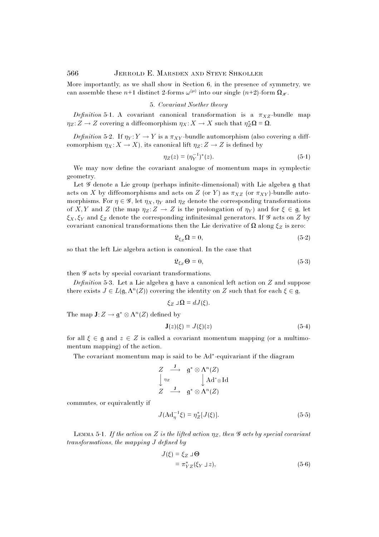More importantly, as we shall show in Section 6, in the presence of symmetry, we can assemble these  $n+1$  distinct 2-forms  $\omega^{(\mu)}$  into our single  $(n+2)$ -form  $\Omega_{\mathscr{H}}$ .

#### 5. Covariant Noether theory

Definition 5.1. A covariant canonical transformation is a  $\pi_{XZ}$ -bundle map  $\eta_Z: Z \to Z$  covering a diffeomorphism  $\eta_X: X \to X$  such that  $\eta_Z^*\Omega = \Omega$ .

Definition 5.2. If  $\eta_Y: Y \to Y$  is a  $\pi_{XY}$ -bundle automorphism (also covering a diffeomorphism  $\eta_X: X \to X$ ), its canonical lift  $\eta_Z: Z \to Z$  is defined by

$$
\eta_Z(z) = (\eta_Y^{-1})^*(z). \tag{5.1}
$$

We may now define the covariant analogue of momentum maps in symplectic geometry.

Let  $\mathscr G$  denote a Lie group (perhaps infinite-dimensional) with Lie algebra  $\mathfrak g$  that acts on X by diffeomorphisms and acts on Z (or Y) as  $\pi_{XZ}$  (or  $\pi_{XY}$ )-bundle automorphisms. For  $\eta \in \mathscr{G}$ , let  $\eta_X, \eta_Y$  and  $\eta_Z$  denote the corresponding transformations of X, Y and Z (the map  $\eta_Z: Z \to Z$  is the prolongation of  $\eta_Y$ ) and for  $\xi \in \mathfrak{g}$ , let  $\xi_X, \xi_Y$  and  $\xi_Z$  denote the corresponding infinitesimal generators. If  $\mathscr G$  acts on  $Z$  by covariant canonical transformations then the Lie derivative of  $\Omega$  along  $\xi_Z$  is zero:

$$
\mathfrak{L}_{\xi_Z}\Omega = 0,\tag{5-2}
$$

so that the left Lie algebra action is canonical. In the case that

$$
\mathfrak{L}_{\xi_Z}\Theta = 0,\tag{5-3}
$$

then  $\mathscr G$  acts by special covariant transformations.

Definition 5.3. Let a Lie algebra g have a canonical left action on  $Z$  and suppose there exists  $J \in L(\mathfrak{g}, \Lambda^n(Z))$  covering the identity on Z such that for each  $\xi \in \mathfrak{g}$ ,

$$
\xi_Z\,\lrcorner\,\Omega=dJ(\xi).
$$

The map  $J: Z \to \mathfrak{g}^* \otimes \Lambda^n(Z)$  defined by

$$
\mathbf{J}(z)(\xi) = J(\xi)(z) \tag{5.4}
$$

for all  $\xi \in \mathfrak{g}$  and  $z \in Z$  is called a covariant momentum mapping (or a multimomentum mapping) of the action.

The covariant momentum map is said to be Ad∗-equivariant if the diagram

$$
\begin{array}{ccc}\nZ & \xrightarrow{\mathbf{J}} & \mathbf{g}^* \otimes \mathbf{\Lambda}^n(Z) \\
\downarrow \eta_Z & & \downarrow \mathbf{Ad}^* \otimes \mathrm{Id} \\
Z & \xrightarrow{\mathbf{J}} & \mathbf{g}^* \otimes \mathbf{\Lambda}^n(Z)\n\end{array}
$$

commutes, or equivalently if

$$
J(\mathrm{Ad}_{\eta}^{-1}\xi) = \eta_Z^* [J(\xi)]. \tag{5.5}
$$

LEMMA 5.1. If the action on Z is the lifted action  $\eta_Z$ , then  $\mathscr G$  acts by special covariant transformations, the mapping J defined by

$$
J(\xi) = \xi_Z \Box \Theta
$$
  
=  $\pi_{YZ}^*(\xi_Y \Box z),$  (5.6)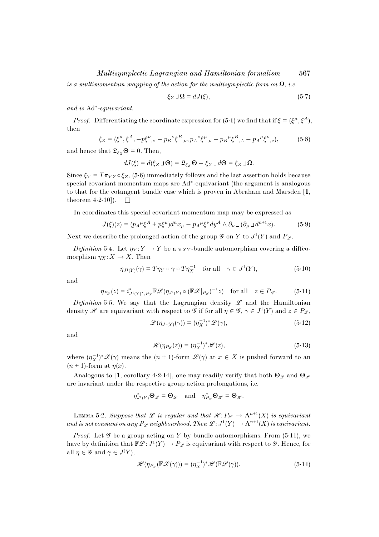is a multimomentum mapping of the action for the multisymplectic form on  $\Omega$ , i.e.

$$
\xi_Z \,\,\bot \Omega = dJ(\xi),\tag{5-7}
$$

and is Ad∗-equivariant.

*Proof.* Differentiating the coordinate expression for (5·1) we find that if  $\xi = (\xi^{\mu}, \xi^{A})$ , then

$$
\xi_Z = (\xi^{\mu}, \xi^A, -p\xi^{\nu}, \nu - p_B^{\nu}\xi^B, \nu, p_A^{\nu}\xi^{\mu}, \nu - p_B^{\mu}\xi^B, A - p_A^{\mu}\xi^{\nu}, \nu),
$$
(5.8)

and hence that  $\mathfrak{L}_{\xi_Z} \Theta = 0$ . Then,

$$
dJ(\xi) = d(\xi_Z \sqcup \Theta) = \mathfrak{L}_{\xi_Z} \Theta - \xi_Z \sqcup d\Theta = \xi_Z \sqcup \Omega.
$$

Since  $\xi_Y = T \pi_{YZ} \circ \xi_Z$ , (5.6) immediately follows and the last assertion holds because special covariant momentum maps are Ad∗-equivariant (the argument is analogous to that for the cotangent bundle case which is proven in Abraham and Marsden [1, theorem  $4.2.10$ ]).  $\Box$ 

In coordinates this special covariant momentum map may be expressed as

$$
J(\xi)(z) = (p_A^{\mu} \xi^A + p\xi^{\mu}) d^n x_{\mu} - p_A^{\mu} \xi^{\nu} dy^A \wedge \partial_{\nu} \mathbf{I}(\partial_{\mu} \mathbf{I} d^{n+1} x). \tag{5.9}
$$

Next we describe the prolonged action of the group  $\mathscr G$  on Y to  $J^1(Y)$  and  $P_{\mathscr L}$ .

Definition 5.4. Let  $\eta_Y: Y \to Y$  be a  $\pi_{XY}$ -bundle automorphism covering a diffeomorphism  $\eta_X: X \to X$ . Then

$$
\eta_{J^1(Y)}(\gamma) = T\eta_Y \circ \gamma \circ T\eta_X^{-1} \quad \text{for all} \quad \gamma \in J^1(Y), \tag{5.10}
$$

and

$$
\eta_{P_{\mathscr{L}}}(z) = i^*_{J^1(Y)^{\star}, P_{\mathscr{L}}}\mathbb{F}\mathscr{L}(\eta_{J^1(Y)} \circ (\mathbb{F}\mathscr{L}|_{P_{\mathscr{L}}})^{-1}z) \quad \text{for all} \quad z \in P_{\mathscr{L}}.\tag{5.11}
$$

Definition 5.5. We say that the Lagrangian density  $\mathscr L$  and the Hamiltonian density H are equivariant with respect to G if for all  $\eta \in \mathcal{G}, \gamma \in J^1(Y)$  and  $z \in P_{\mathcal{L}},$ 

$$
\mathcal{L}(\eta_{J^1(Y)}(\gamma)) = (\eta_X^{-1})^* \mathcal{L}(\gamma), \tag{5.12}
$$

and

$$
\mathcal{H}(\eta_{P_{\mathscr{L}}}(z)) = (\eta_X^{-1})^* \mathcal{H}(z), \qquad (5.13)
$$

where  $(\eta_X^{-1})^* \mathscr{L}(\gamma)$  means the  $(n + 1)$ -form  $\mathscr{L}(\gamma)$  at  $x \in X$  is pushed forward to an  $(n + 1)$ -form at  $\eta(x)$ .

Analogous to [1, corollary 4·2·14], one may readily verify that both  $\Theta_{\mathscr{L}}$  and  $\Theta_{\mathscr{H}}$ are invariant under the respective group action prolongations, i.e.

 $\eta_{J^1(Y)}^* \mathbf{\Theta}_{\mathscr{L}} = \mathbf{\Theta}_{\mathscr{L}} \quad \text{and} \quad \eta_{P_{\mathscr{L}}}^* \mathbf{\Theta}_{\mathscr{H}} = \mathbf{\Theta}_{\mathscr{H}}.$ 

LEMMA 5.2. Suppose that  $\mathscr L$  is regular and that  $\mathscr K: P_{\mathscr L} \to \Lambda^{n+1}(X)$  is equivariant and is not constant on any  $P_{\mathscr{L}}$  neighbourhood. Then  $\mathscr{L}: J^1(Y) \to \Lambda^{n+1}(X)$  is equivariant.

*Proof.* Let  $\mathscr G$  be a group acting on Y by bundle automorphisms. From (5.11), we have by definition that  $\mathbb{F}\mathscr{L}: J^1(Y) \to P_{\mathscr{L}}$  is equivariant with respect to  $\mathscr{G}$ . Hence, for all  $\eta \in \mathscr{G}$  and  $\gamma \in J^{(Y)}$ ,

$$
\mathcal{H}(\eta_{P_{\mathscr{L}}}(\mathbb{F}\mathscr{L}(\gamma))) = (\eta_X^{-1})^* \mathcal{H}(\mathbb{F}\mathscr{L}(\gamma)).
$$
\n(5.14)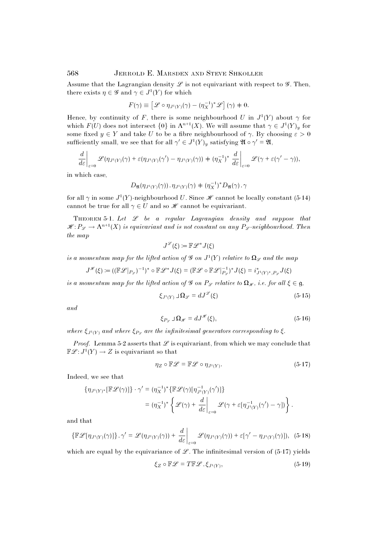Assume that the Lagrangian density  $\mathscr L$  is not equivariant with respect to  $\mathscr G$ . Then, there exists  $\eta \in \mathscr{G}$  and  $\gamma \in J^1(Y)$  for which

$$
F(\gamma) \equiv \left[ \mathcal{L} \circ \eta_{J^1(Y)}(\gamma) - (\eta_X^{-1})^* \mathcal{L} \right](\gamma) \neq 0.
$$

Hence, by continuity of F, there is some neighbourhood U in  $J^1(Y)$  about  $\gamma$  for which  $F(U)$  does not intersect  $\{0\}$  in  $\Lambda^{n+1}(X)$ . We will assume that  $\gamma \in J^1(Y)_y$  for some fixed  $y \in Y$  and take U to be a fibre neighbourhood of  $\gamma$ . By choosing  $\varepsilon > 0$ sufficiently small, we see that for all  $\gamma' \in J^1(Y)_y$  satisfying  $\mathfrak{A} \circ \gamma' = \mathfrak{A}$ ,

$$
\left. \frac{d}{d\varepsilon} \right|_{\varepsilon=0} \mathscr{L}(\eta_{J^1(Y)}(\gamma) + \varepsilon(\eta_{J^1(Y)}(\gamma') - \eta_{J^1(Y)}(\gamma)) + (\eta_X^{-1})^* \left. \frac{d}{d\varepsilon} \right|_{\varepsilon=0} \mathscr{L}(\gamma + \varepsilon(\gamma' - \gamma)),
$$

in which case,

$$
D_{\mathfrak{A}}(\eta_{J^1(Y)}(\gamma)).\eta_{J^1(Y)}(\gamma) + (\eta_X^{-1})^* D_{\mathfrak{A}}(\gamma).\gamma
$$

for all  $\gamma$  in some  $J^1(Y)$ -neighbourhood U. Since  $\mathscr H$  cannot be locally constant (5.14) cannot be true for all  $\gamma \in U$  and so  $\mathscr H$  cannot be equivariant.

THEOREM 5.1. Let  $\mathscr L$  be a regular Lagrangian density and suppose that  $\mathcal{H}: P_{\mathcal{L}} \to \Lambda^{n+1}(X)$  is equivariant and is not constant on any  $P_{\mathcal{L}}$ -neighbourhood. Then the map

$$
J^{\mathscr{L}}(\xi) \coloneqq \mathbb{F} \mathscr{L}^* J(\xi)
$$

is a momentum map for the lifted action of  $\mathscr G$  on  $J^1(Y)$  relative to  $\Omega_{\mathscr L}$  and the map

$$
J^{\mathscr{H}}(\xi) := ((\mathbb{F}\mathscr{L}|_{P_{\mathscr{L}}})^{-1})^* \circ \mathbb{F}\mathscr{L}^* J(\xi) = (\mathbb{F}\mathscr{L} \circ \mathbb{F}\mathscr{L}|_{P_{\mathscr{L}}}^{-1})^* J(\xi) = i_{J^1(Y)^*, P_{\mathscr{L}}}^* J(\xi)
$$

is a momentum map for the lifted action of  $\mathscr G$  on  $P_{\mathscr L}$  relative to  $\Omega_{\mathscr H}$ , i.e. for all  $\xi \in \mathfrak g$ ,

$$
\xi_{J^1(Y)} \,\,\mathrm{d}\Omega_{\mathscr{L}} = dJ^{\mathscr{L}}(\xi) \tag{5.15}
$$

and

$$
\xi_{P_{\mathscr{L}}} \,\,\cup\,\, \Omega_{\mathscr{H}} = dJ^{\mathscr{H}}(\xi),\tag{5.16}
$$

where  $\xi_{J^1(Y)}$  and where  $\xi_{P_{\varphi}}$  are the infinitesimal generators corresponding to  $\xi$ .

*Proof.* Lemma 5.2 asserts that  $\mathscr L$  is equivariant, from which we may conclude that  $\mathbb{F}\mathscr{L}: J^1(Y) \to Z$  is equivariant so that

$$
\eta_Z \circ \mathbb{F}\mathscr{L} = \mathbb{F}\mathscr{L} \circ \eta_{J^1(Y)}.\tag{5.17}
$$

Indeed, we see that

$$
\{\eta_{J^1(Y)^*}[\mathbb{F}\mathscr{L}(\gamma)]\} \cdot \gamma' = (\eta_X^{-1})^* \{\mathbb{F}\mathscr{L}(\gamma)[\eta_{J^1(Y)}^{-1}(\gamma')] \}
$$
  

$$
= (\eta_X^{-1})^* \left\{ \mathscr{L}(\gamma) + \frac{d}{d\varepsilon} \bigg|_{\varepsilon=0} \mathscr{L}(\gamma + \varepsilon[\eta_{J^1(Y)}^{-1}(\gamma') - \gamma]) \right\}.
$$

and that

$$
\left\{\mathbb{F}\mathscr{L}[\eta_{J^1(Y)}(\gamma)]\right\}.\gamma'=\mathscr{L}(\eta_{J^1(Y)}(\gamma))+\left.\frac{d}{d\varepsilon}\right|_{\varepsilon=0}\mathscr{L}(\eta_{J^1(Y)}(\gamma))+\varepsilon[\gamma'-\eta_{J^1(Y)}(\gamma)]),\tag{5.18}
$$

which are equal by the equivariance of  $\mathscr{L}$ . The infinitesimal version of (5.17) yields

$$
\xi_Z \circ \mathbb{F}\mathscr{L} = T\mathbb{F}\mathscr{L}.\xi_{J^1(Y)},\tag{5.19}
$$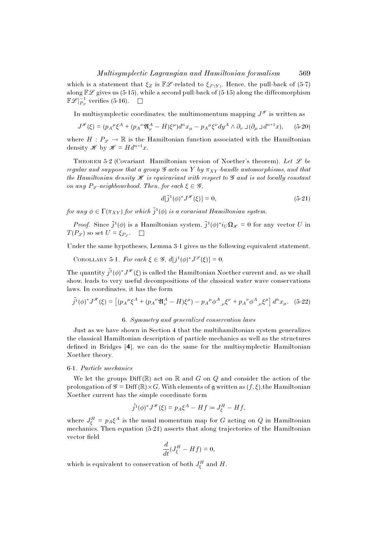which is a statement that  $\xi_Z$  is  $\mathbb{F}\mathscr{L}$ -related to  $\xi_{J^1(Y)}$ . Hence, the pull-back of (5.7) along  $\mathbb{F}\mathscr{L}$  gives us (5.15), while a second pull-back of (5.15) along the diffeomorphism  $\mathbb{F}\mathscr{L}|_{P_{\mathscr{L}}}^{-1}$  verifies (5·16).  $\Box$ 

In multisymplectic coordinates, the multimomentum mapping  $J^{\mathscr{H}}$  is written as

$$
J^{\mathscr{H}}(\xi) = (p_A^{\mu}\xi^A + (p_A^{\nu}\mathfrak{A}_{\nu}^A - H)\xi^{\mu})d^nx_{\mu} - p_A^{\mu}\xi^{\nu}dy^A \wedge \partial_{\nu}\mathfrak{a}(\partial_{\mu}\mathfrak{a}^{n+1}x), \qquad (5.20)
$$

where  $H: P_{\mathscr{L}} \to \mathbb{R}$  is the Hamiltonian function associated with the Hamiltonian density  $\mathscr{H}$  by  $\mathscr{H} = H d^{n+1}x$ .

THEOREM 5.2 (Covariant Hamiltonian version of Noether's theorem). Let  $\mathscr L$  be regular and suppose that a group  $\mathscr G$  acts on Y by  $\pi_{XY}$ -bundle automorphisms, and that the Hamiltonian density  $\mathscr H$  is equivariant with respect to  $\mathscr G$  and is not locally constant on any P<sub>L</sub>-neighbourhood. Then, for each  $\xi \in \mathcal{G}$ ,

$$
d[\tilde{j}^1(\phi)^* J^{\mathcal{H}}(\xi)] = 0, \qquad (5.21)
$$

for any  $\phi \in \Gamma(\pi_{XY})$  for which  $\tilde{j}^1(\phi)$  is a covariant Hamiltonian system.

*Proof.* Since  $\tilde{j}^1(\phi)$  is a Hamiltonian system,  $\tilde{j}^1(\phi)^* i_U \Omega_{\mathscr{H}} = 0$  for any vector U in  $T(P_{\mathscr{L}})$  so set  $U = \xi_{P_{\mathscr{L}}}$ .  $\Box$ 

Under the same hypotheses, Lemma 3·1 gives us the following equivalent statement.

COROLLARY 5.1. For each  $\xi \in \mathscr{G}$ ,  $d[j^1(\phi)^* J^{\mathscr{L}}(\xi)] = 0$ .

The quantity  $\tilde{j^1}(\phi)^*J^{\mathscr{H}}(\xi)$  is called the Hamiltonian Noether current and, as we shall show, leads to very useful decompositions of the classical water wave conservations laws. In coordinates, it has the form

$$
\tilde{j}^{1}(\phi)^{*} J^{\mathscr{H}}(\xi) = \left[ (p_{A}^{\mu} \xi^{A} + (p_{A}^{\nu} \mathfrak{A}_{\nu}^{A} - H) \xi^{\mu}) - p_{A}^{\mu} \phi^{A}{}_{,\nu} \xi^{\nu} + p_{A}^{\nu} \phi^{A}{}_{,\nu} \xi^{\mu} \right] d^{n} x_{\mu}.
$$
 (5.22)

## 6. Symmetry and generalized conservation laws

Just as we have shown in Section 4 that the multihamiltonian system generalizes the classical Hamiltonian description of particle mechanics as well as the structures defined in Bridges [4], we can do the same for the multisymplectic Hamiltonian Noether theory.

#### 6·1. Particle mechanics

We let the groups  $\text{Diff}(\mathbb{R})$  act on  $\mathbb R$  and  $G$  on  $Q$  and consider the action of the prolongation of  $\mathscr{G} = \text{Diff}(\mathbb{R}) \times G$ . With elements of g written as  $(f, \xi)$ , the Hamiltonian Noether current has the simple coordinate form

$$
\tilde{j}^1(\phi)^* J^{\mathscr{H}}(\xi) = p_A \xi^A - Hf := J^H_{\xi} - Hf,
$$

where  $J_{\xi}^{H} = p_{A} \xi^{A}$  is the usual momentum map for G acting on Q in Hamiltonian mechanics. Then equation (5·21) asserts that along trajectories of the Hamiltonian vector field

$$
\frac{d}{dt}(J_{\xi}^{H}-Hf)=0,
$$

which is equivalent to conservation of both  $J_{\xi}^{H}$  and H.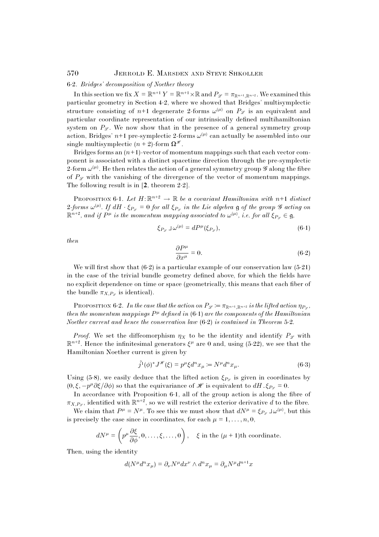# 6·2. Bridges' decomposition of Noether theory

In this section we fix  $X = \mathbb{R}^{n+1} Y = \mathbb{R}^{n+1} \times \mathbb{R}$  and  $P_{\mathscr{L}} = \pi_{\mathbb{R}^{n+1},\mathbb{R}^{n+2}}$ . We examined this particular geometry in Section 4·2, where we showed that Bridges' multisymplectic structure consisting of  $n+1$  degenerate 2-forms  $\omega^{(\mu)}$  on  $P_{\varphi}$  is an equivalent and particular coordinate representation of our intrinsically defined multihamiltonian system on  $P_{\mathscr{L}}$ . We now show that in the presence of a general symmetry group action, Bridges'  $n+1$  pre-symplectic 2-forms  $\omega^{(\mu)}$  can actually be assembled into our single multisymplectic  $(n + 2)$ -form  $\Omega^{\mathscr{H}}$ .

Bridges forms an  $(n+1)$ -vector of momentum mappings such that each vector component is associated with a distinct spacetime direction through the pre-symplectic 2-form  $\omega^{(\mu)}$  . He then relates the action of a general symmetry group  ${\mathscr G}$  along the fibre of  $P_{\varphi}$  with the vanishing of the divergence of the vector of momentum mappings. The following result is in [2, theorem 2·2].

PROPOSITION 6.1. Let  $H: \mathbb{R}^{n+2} \to \mathbb{R}$  be a covariant Hamiltonian with n+1 distinct 2-forms  $\omega^{(\mu)}$ . If  $dH\cdot \xi_{P_{\mathscr{L}}}=0$  for all  $\xi_{P_{\mathscr{L}}}$  in the Lie algebra  $\mathfrak g$  of the group  ${\mathscr G}$  acting on  $\mathbb{R}^{n+2}$ , and if  $P^{\mu}$  is the momentum mapping associated to  $\omega^{(\mu)}$ , i.e. for all  $\xi_{P_{\mathscr{L}}}\in\mathfrak{g}$ ,

$$
\xi_{P_{\mathscr{L}}} \mathop{\perp} \omega^{(\mu)} = dP^{\mu}(\xi_{P_{\mathscr{L}}}),\tag{6.1}
$$

then

$$
\frac{\partial P^{\mu}}{\partial x^{\mu}} = 0. \tag{6.2}
$$

We will first show that  $(6.2)$  is a particular example of our conservation law  $(5.21)$ in the case of the trivial bundle geometry defined above, for which the fields have no explicit dependence on time or space (geometrically, this means that each fiber of the bundle  $\pi_{X,P_{\mathscr{L}}}$  is identical).

PROPOSITION 6.2. In the case that the action on  $P_{\mathscr{L}} := \pi_{\mathbb{R}^{n+1},\mathbb{R}^{n+2}}$  is the lifted action  $\eta_{P_{\mathscr{L}}}$ , then the momentum mappings  $P^{\mu}$  defined in (6.1) are the components of the Hamiltonian Noether current and hence the conservation law (6·2) is contained in Theorem 5·2.

*Proof.* We set the diffeomorphism  $\eta_X$  to be the identity and identify  $P_{\mathscr{L}}$  with  $\mathbb{R}^{n+2}$ . Hence the infinitesimal generators  $\xi^{\mu}$  are 0 and, using (5.22), we see that the Hamiltonian Noether current is given by

$$
\tilde{j}^{1}(\phi)^{*} J^{\mathscr{H}}(\xi) = p^{\mu} \xi d^{n} x_{\mu} := N^{\mu} d^{n} x_{\mu}.
$$
\n(6.3)

Using (5.8), we easily deduce that the lifted action  $\xi_{P_{\varphi}}$  is given in coordinates by  $(0, \xi, -p^{\mu}\partial \xi/\partial \phi)$  so that the equivariance of H is equivalent to  $dH$ .  $\xi_{P_{\mathscr{L}}} = 0$ .

In accordance with Proposition 6·1, all of the group action is along the fibre of  $\pi_{X,P_{\mathscr{L}}}$ , identified with  $\mathbb{R}^{n+2}$ , so we will restrict the exterior derivative d to the fibre.

We claim that  $P^{\mu} = N^{\mu}$ . To see this we must show that  $dN^{\mu} = \xi_{P_{\mathscr{L}}} \mathsf{d}\omega^{(\mu)}$ , but this is precisely the case since in coordinates, for each  $\mu = 1, \ldots, n, 0$ ,

$$
dN^{\mu} = \left(p^{\mu} \frac{\partial \xi}{\partial \phi}, 0, \dots, \xi, \dots, 0\right), \quad \xi \text{ in the } (\mu + 1) \text{th coordinate.}
$$

Then, using the identity

$$
d(N^{\mu}d^{n}x_{\mu}) = \partial_{\nu}N^{\mu}dx^{\nu} \wedge d^{n}x_{\mu} = \partial_{\mu}N^{\mu}d^{n+1}x
$$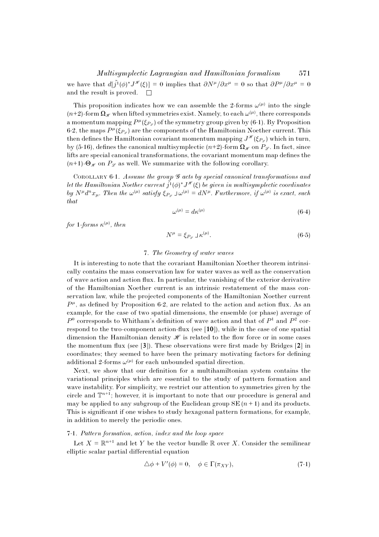Multisymplectic Lagrangian and Hamiltonian formalism 571 we have that  $d[\tilde{j}^1(\phi)^* J^{\mathscr{H}}(\xi)] = 0$  implies that  $\partial N^{\mu}/\partial x^{\mu} = 0$  so that  $\partial P^{\mu}/\partial x^{\mu} = 0$ and the result is proved.  $\Box$ 

This proposition indicates how we can assemble the 2-forms  $\omega^{(\mu)}$  into the single  $(n+2)$ -form  $\Omega_{\mathscr{H}}$  when lifted symmetries exist. Namely, to each  $\omega^{(\mu)}$ , there corresponds a momentum mapping  $P^{\mu}(\xi_{P_{\mathscr{L}}})$  of the symmetry group given by (6.1). By Proposition 6.2, the maps  $P^{\mu}(\xi_{P_{\mathscr{L}}})$  are the components of the Hamiltonian Noether current. This then defines the Hamiltonian covariant momentum mapping  $J^{\mathscr{H}}(\xi_{P_{\varphi}})$  which in turn, by (5.16), defines the canonical multisymplectic  $(n+2)$ -form  $\Omega_{\mathscr{H}}$  on  $P_{\mathscr{L}}$ . In fact, since lifts are special canonical transformations, the covariant momentum map defines the  $(n+1)$ -Θ<sub>\*</sub> on  $P_{\varphi}$  as well. We summarize with the following corollary.

COROLLARY 6.1. Assume the group  $\mathcal G$  acts by special canonical transformations and let the Hamiltonian Noether current  $\tilde{j^1}(\phi)^*J^\mathscr{H}(\xi)$  be given in multisymplectic coordinates by  $N^{\mu}d^{n}x_{\mu}$ . Then the  $\omega^{(\mu)}$  satisfy  $\xi_{P_{\varphi}}\,\underline{\cup}\,\omega^{(\mu)} = dN^{\mu}$ . Furthermore, if  $\omega^{(\mu)}$  is exact, such that

$$
\omega^{(\mu)} = d\kappa^{(\mu)} \tag{6-4}
$$

for 1-forms  $\kappa^{(\mu)},$  then

$$
N^{\mu} = \xi_{P_{\mathscr{L}}} \perp \kappa^{(\mu)}.
$$
\n(6.5)

### 7. The Geometry of water waves

It is interesting to note that the covariant Hamiltonian Noether theorem intrinsically contains the mass conservation law for water waves as well as the conservation of wave action and action flux. In particular, the vanishing of the exterior derivative of the Hamiltonian Noether current is an intrinsic restatement of the mass conservation law, while the projected components of the Hamiltonian Noether current  $P^{\mu}$ , as defined by Proposition 6.2, are related to the action and action flux. As an example, for the case of two spatial dimensions, the ensemble (or phase) average of  $P^0$  corresponds to Whitham's definition of wave action and that of  $P^1$  and  $P^2$  correspond to the two-component action-flux (see  $[10]$ ), while in the case of one spatial dimension the Hamiltonian density  $\mathscr H$  is related to the flow force or in some cases the momentum flux (see [3]). These observations were first made by Bridges [2] in coordinates; they seemed to have been the primary motivating factors for defining additional 2-forms  $\omega^{(\mu)}$  for each unbounded spatial direction.

Next, we show that our definition for a multihamiltonian system contains the variational principles which are essential to the study of pattern formation and wave instability. For simplicity, we restrict our attention to symmetries given by the circle and  $\mathbb{T}^{n+1}$ ; however, it is important to note that our procedure is general and may be applied to any subgroup of the Euclidean group SE  $(n + 1)$  and its products. This is significant if one wishes to study hexagonal pattern formations, for example, in addition to merely the periodic ones.

## 7·1. Pattern formation, action, index and the loop space

Let  $X = \mathbb{R}^{n+1}$  and let Y be the vector bundle  $\mathbb{R}$  over X. Consider the semilinear elliptic scalar partial differential equation

$$
\Delta \phi + V'(\phi) = 0, \quad \phi \in \Gamma(\pi_{XY}), \tag{7.1}
$$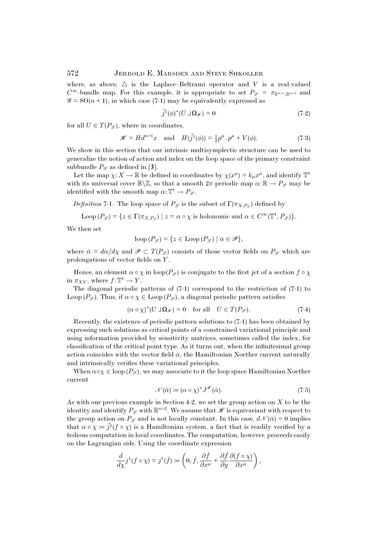where, as above,  $\triangle$  is the Laplace–Beltrami operator and V is a real-valued  $C^{\infty}$ -bundle map. For this example, it is appropriate to set  $P_{\mathscr{L}} = \pi_{\mathbb{R}^{n+1},\mathbb{R}^{n+2}}$  and  $\mathscr{G} = SO(n + 1)$ , in which case (7.1) may be equivalently expressed as

$$
\tilde{j}^1(\phi)^*(U \sqcup \Omega_{\mathscr{H}}) = 0 \tag{7.2}
$$

for all  $U \in T(P_{\mathscr{L}})$ , where in coordinates,

$$
\mathcal{H} = H d^{n+1} x \quad \text{and} \quad H(\tilde{j}^1(\phi)) = \frac{1}{2} p^{\mu} \cdot p^{\mu} + V(\phi). \tag{7.3}
$$

We show in this section that our intrinsic multisymplectic structure can be used to generalize the notion of action and index on the loop space of the primary constraint subbundle  $P_{\mathscr{L}}$  as defined in [3].

Let the map  $\chi: X \to \mathbb{R}$  be defined in coordinates by  $\chi(x^{\mu}) = k_{\mu}x^{\mu}$ , and identify  $\mathbb{T}^{1}$ with its universal cover  $\mathbb{R}\setminus\mathbb{Z}$ , so that a smooth  $2\pi$ -periodic map  $\alpha: \mathbb{R} \to P_{\mathscr{L}}$  may be identified with the smooth map  $\alpha: \mathbb{T}^1 \to P_{\mathscr{L}}$ .

Definition 7.1. The loop space of  $P_{\mathscr{L}}$  is the subset of  $\Gamma(\pi_{X,P_{\mathscr{L}}})$  defined by

Loop 
$$
(P_{\mathscr{L}}) = \{ z \in \Gamma(\pi_{X,P_{\mathscr{L}}}) \mid z = \alpha \circ \chi \text{ is holonomic and } \alpha \in C^{\infty}(\mathbb{T}^1, P_{\mathscr{L}}) \}.
$$

We then set

loop 
$$
(P_{\mathscr{L}}) = \{ z \in \text{Loop} (P_{\mathscr{L}}) \mid \alpha \in \mathscr{P} \},\
$$

where  $\dot{\alpha} = d\alpha/d\chi$  and  $\mathscr{P} \subset T(P_{\mathscr{L}})$  consists of those vector fields on  $P_{\mathscr{L}}$  which are prolongations of vector fields on Y .

Hence, an element  $\alpha \circ \chi$  in loop( $P_{\mathscr{L}}$ ) is conjugate to the first jet of a section  $f \circ \chi$ in  $\pi_{XY}$ , where  $f: \mathbb{T}^1 \to Y$ .

The diagonal periodic patterns of (7·1) correspond to the restriction of (7·1) to Loop ( $P_{\mathscr{L}}$ ). Thus, if  $\alpha \circ \chi \in$  Loop ( $P_{\mathscr{L}}$ ), a diagonal periodic pattern satisfies

$$
(\alpha \circ \chi)^{*}(U \lrcorner \Omega_{\mathscr{H}}) = 0 \quad \text{for all} \quad U \in T(P_{\mathscr{L}}). \tag{7.4}
$$

Recently, the existence of periodic pattern solutions to (7·1) has been obtained by expressing such solutions as critical points of a constrained variational principle and using information provided by sensitivity matrices, sometimes called the index, for classification of the critical point type. As it turns out, when the infinitesimal group action coincides with the vector field  $\dot{\alpha}$ , the Hamiltonian Noether current naturally and intrinsically verifies these variational principles.

When  $\alpha \circ \chi \in \text{loop}(P_{\mathscr{L}})$ , we may associate to it the loop space Hamiltonian Noether current

$$
\mathcal{N}(\dot{\alpha}) \coloneqq (\alpha \circ \chi)^* J^{\mathscr{H}}(\dot{\alpha}). \tag{7.5}
$$

As with our previous example in Section  $4.2$ , we set the group action on X to be the identity and identify  $P_{\mathscr{L}}$  with  $\mathbb{R}^{n+2}$ . We assume that  $\mathscr{H}$  is equivariant with respect to the group action on  $P_{\mathscr{L}}$  and is not locally constant. In this case,  $d\mathscr{N}(\dot{\alpha}) = 0$  implies that  $\alpha \circ \chi = \tilde{j}^1(f \circ \chi)$  is a Hamiltonian system, a fact that is readily verified by a tedious computation in local coordinates. The computation, however, proceeds easily on the Lagrangian side. Using the coordinate expression

$$
\frac{d}{d\chi}j^1(f\circ\chi)=j^1(\dot f):=\left(0,\dot f,\frac{\partial\dot f}{\partial x^\mu}+\frac{\partial\dot f}{\partial y}\frac{\partial (f\circ\chi)}{\partial x^\mu}\right),
$$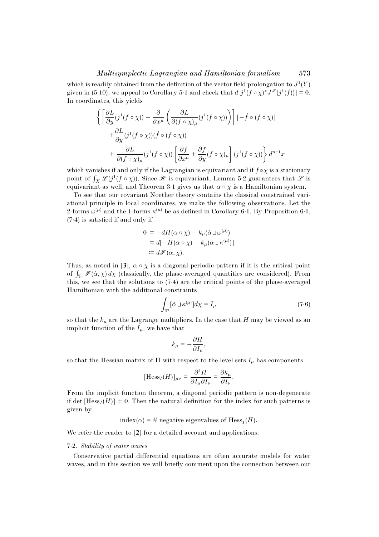which is readily obtained from the definition of the vector field prolongation to  $J^1(Y)$ given in (5·10), we appeal to Corollary 5·1 and check that  $d[j^1(f \circ \chi)^* J^{\mathscr{L}}(j^1(f))] = 0$ . In coordinates, this yields

$$
\begin{aligned}\n&\left\{\left[\frac{\partial L}{\partial y}(j^1(f\circ\chi))-\frac{\partial}{\partial x^\mu}\left(\frac{\partial L}{\partial (f\circ\chi)_\mu}(j^1(f\circ\chi))\right)\right][-\dot{f}\circ(f\circ\chi)]\right.\\&\left.+\frac{\partial L}{\partial y}(j^1(f\circ\chi))(f\circ(f\circ\chi))\right.\\&\left.+\frac{\partial L}{\partial (f\circ\chi)_\mu}(j^1(f\circ\chi))\left[\frac{\partial \dot{f}}{\partial x^\mu}+\frac{\partial \dot{f}}{\partial y}(f\circ\chi)_\mu\right](j^1(f\circ\chi))\right\}d^{n+1}x\end{aligned}
$$

which vanishes if and only if the Lagrangian is equivariant and if  $f \circ \chi$  is a stationary point of  $\int_X \mathscr{L}(j^1(f \circ \chi))$ . Since  $\mathscr{H}$  is equivariant, Lemma 5.2 guarantees that  $\mathscr{L}$  is equivariant as well, and Theorem 3·1 gives us that  $\alpha \circ \chi$  is a Hamiltonian system.

To see that our covariant Noether theory contains the classical constrained variational principle in local coordinates, we make the following observations. Let the 2-forms  $\omega^{(\mu)}$  and the 1-forms  $\kappa^{(\mu)}$  be as defined in Corollary 6.1. By Proposition 6.1, (7·4) is satisfied if and only if

$$
0 = -dH(\alpha \circ \chi) - k_{\mu}(\dot{\alpha} \sqcup \omega^{(\mu)})
$$
  
=  $d[-H(\alpha \circ \chi) - k_{\mu}(\dot{\alpha} \sqcup \kappa^{(\mu)})]$   
:=  $d\mathcal{F}(\dot{\alpha}, \chi)$ .

Thus, as noted in [3],  $\alpha \circ \chi$  is a diagonal periodic pattern if it is the critical point of  $\int_{\mathbb{T}^1} \mathcal{F}(\dot{\alpha}, \chi) d\chi$  (classically, the phase-averaged quantities are considered). From this, we see that the solutions to  $(7.4)$  are the critical points of the phase-averaged Hamiltonian with the additional constraints

$$
\int_{\mathbb{T}^1} [\dot{\alpha} \, \exists \, \kappa^{(\mu)}] d\chi = I_\mu \tag{7.6}
$$

so that the  $k_{\mu}$  are the Lagrange multipliers. In the case that H may be viewed as an implicit function of the  $I_{\mu}$ , we have that

$$
k_\mu = -\frac{\partial H}{\partial I_\mu},
$$

so that the Hessian matrix of H with respect to the level sets  $I_{\mu}$  has components

$$
[\text{Hess}_{I}(H)]_{\mu\nu} = \frac{\partial^2 H}{\partial I_{\mu}\partial I_{\nu}} = \frac{\partial k_{\mu}}{\partial I_{\nu}}.
$$

From the implicit function theorem, a diagonal periodic pattern is non-degenerate if det  $[\text{Hess}_{I}(H)] \neq 0$ . Then the natural definition for the index for such patterns is given by

index( $\alpha$ ) = # negative eigenvalues of  $Hess_I(H)$ .

We refer the reader to [2] for a detailed account and applications.

## 7·2. Stability of water waves

Conservative partial differential equations are often accurate models for water waves, and in this section we will briefly comment upon the connection between our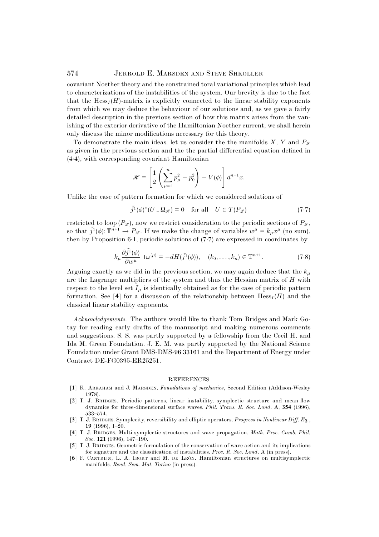covariant Noether theory and the constrained toral variational principles which lead to characterizations of the instabilities of the system. Our brevity is due to the fact that the  $Hess_I(H)$ -matrix is explicitly connected to the linear stability exponents from which we may deduce the behaviour of our solutions and, as we gave a fairly detailed description in the previous section of how this matrix arises from the vanishing of the exterior derivative of the Hamiltonian Noether current, we shall herein only discuss the minor modifications necessary for this theory.

To demonstrate the main ideas, let us consider the the manifolds X, Y and  $P_{\mathscr{L}}$ as given in the previous section and the the partial differential equation defined in (4·4), with corresponding covariant Hamiltonian

$$
\mathscr{H} = \left[\frac{1}{2}\left(\sum_{\mu=1}^n p_\mu^2 - p_0^2\right) - V(\phi)\right]d^{n+1}x.
$$

Unlike the case of pattern formation for which we considered solutions of

$$
\tilde{j}^1(\phi)^*(U \sqcup \Omega_{\mathscr{H}}) = 0 \quad \text{for all} \quad U \in T(P_{\mathscr{L}})
$$
\n
$$
(7 \cdot 7)
$$

restricted to loop ( $P_{\mathscr{L}}$ ), now we restrict consideration to the periodic sections of  $P_{\mathscr{L}}$ , so that  $\tilde{j}^1(\phi)$ :  $\mathbb{T}^{n+1} \to P_{\mathscr{L}}$ . If we make the change of variables  $w^{\mu} = k_{\mu}x^{\mu}$  (no sum), then by Proposition 6·1, periodic solutions of (7·7) are expressed in coordinates by

$$
k_{\mu} \frac{\partial \tilde{j}^{1}(\phi)}{\partial w^{\mu}} \lrcorner \omega^{(\mu)} = -dH(\tilde{j}^{1}(\phi)), \quad (k_{0}, \ldots, k_{n}) \in \mathbb{T}^{n+1}.
$$
 (7.8)

Arguing exactly as we did in the previous section, we may again deduce that the  $k_{\mu}$ are the Lagrange multipliers of the system and thus the Hessian matrix of  $H$  with respect to the level set  $I_\mu$  is identically obtained as for the case of periodic pattern formation. See [4] for a discussion of the relationship between  $Hess<sub>I</sub>(H)$  and the classical linear stability exponents.

Acknowledgements. The authors would like to thank Tom Bridges and Mark Gotay for reading early drafts of the manuscript and making numerous comments and suggestions. S. S. was partly supported by a fellowship from the Cecil H. and Ida M. Green Foundation. J. E. M. was partly supported by the National Science Foundation under Grant DMS-DMS-96 33161 and the Department of Energy under Contract DE-FG0395-ER25251.

#### REFERENCES

- [1] R. ABRAHAM and J. MARSDEN. Foundations of mechanics, Second Edition (Addison-Wesley 1978).
- [2] T. J. Bridges. Periodic patterns, linear instability, symplectic structure and mean-flow dynamics for three-dimensional surface waves. Phil. Trans. R. Soc. Lond. A, 354 (1996), 533–574.
- [3] T. J. BRIDGES. Symplecity, reversibility and elliptic operators. Progress in Nonlinear Diff. Eq., 19 (1996), 1–20.
- [4] T. J. BRIDGES. Multi-symplectic structures and wave propagation. Math. Proc. Camb. Phil. Soc. 121 (1996), 147–190.
- [5] T. J. BRIDGES. Geometric formulation of the conservation of wave action and its implications for signature and the classification of instabilities. Proc. R. Soc. Lond. A (in press).
- [6] F. CANTRIJN, L. A. IBORT and M. DE LEÓN. Hamiltonian structures on multisymplectic manifolds. Rend. Sem. Mat. Torino (in press).